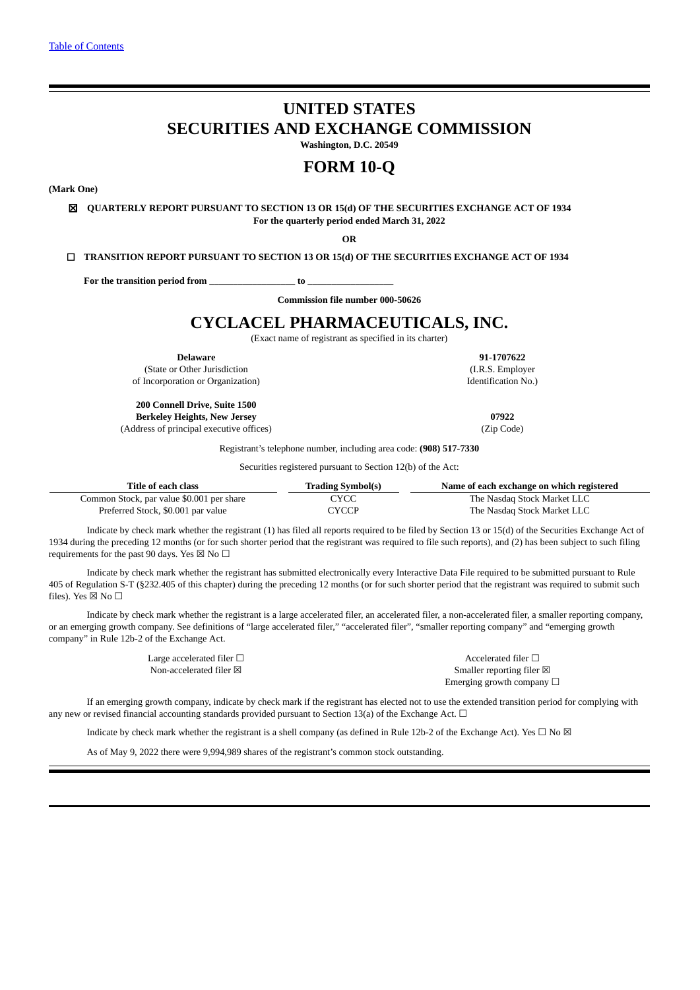# **UNITED STATES SECURITIES AND EXCHANGE COMMISSION**

**Washington, D.C. 20549**

# **FORM 10-Q**

**(Mark One)**

☒ **QUARTERLY REPORT PURSUANT TO SECTION 13 OR 15(d) OF THE SECURITIES EXCHANGE ACT OF 1934 For the quarterly period ended March 31, 2022**

**OR**

☐ **TRANSITION REPORT PURSUANT TO SECTION 13 OR 15(d) OF THE SECURITIES EXCHANGE ACT OF 1934**

For the transition period from \_\_\_\_\_\_\_\_\_\_\_\_\_\_\_\_\_\_\_\_\_\_\_ to

**Commission file number 000-50626**

# **CYCLACEL PHARMACEUTICALS, INC.**

(Exact name of registrant as specified in its charter)

(State or Other Jurisdiction of Incorporation or Organization)

**200 Connell Drive, Suite 1500 Berkeley Heights, New Jersey 07922** (Address of principal executive offices) (Zip Code)

**Delaware 91-1707622** (I.R.S. Employer Identification No.)

Registrant's telephone number, including area code: **(908) 517-7330**

Securities registered pursuant to Section 12(b) of the Act:

| Title of each class                       | <b>Trading Symbol(s)</b> | Name of each exchange on which registered |  |  |  |  |
|-------------------------------------------|--------------------------|-------------------------------------------|--|--|--|--|
| Common Stock, par value \$0.001 per share | CYCC                     | The Nasdaq Stock Market LLC               |  |  |  |  |
| Preferred Stock, \$0.001 par value        | CYCCP                    | The Nasdag Stock Market LLC               |  |  |  |  |

Indicate by check mark whether the registrant (1) has filed all reports required to be filed by Section 13 or 15(d) of the Securities Exchange Act of 1934 during the preceding 12 months (or for such shorter period that the registrant was required to file such reports), and (2) has been subject to such filing requirements for the past 90 days. Yes  $\boxtimes$  No  $\Box$ 

Indicate by check mark whether the registrant has submitted electronically every Interactive Data File required to be submitted pursuant to Rule 405 of Regulation S-T (§232.405 of this chapter) during the preceding 12 months (or for such shorter period that the registrant was required to submit such files). Yes  $\boxtimes$  No  $\square$ 

Indicate by check mark whether the registrant is a large accelerated filer, an accelerated filer, a non-accelerated filer, a smaller reporting company, or an emerging growth company. See definitions of "large accelerated filer," "accelerated filer", "smaller reporting company" and "emerging growth company" in Rule 12b-2 of the Exchange Act.

Large accelerated filer □ and a set of a set of a set of a set of a set of a set of a set of a set of a set of a set of a set of a set of a set of a set of a set of a set of a set of a set of a set of a set of a set of a

Non-accelerated filer  $\boxtimes$ Emerging growth company  $\Box$ 

If an emerging growth company, indicate by check mark if the registrant has elected not to use the extended transition period for complying with any new or revised financial accounting standards provided pursuant to Section 13(a) of the Exchange Act.  $\Box$ 

Indicate by check mark whether the registrant is a shell company (as defined in Rule 12b-2 of the Exchange Act). Yes  $\Box$  No  $\boxtimes$ 

As of May 9, 2022 there were 9,994,989 shares of the registrant's common stock outstanding.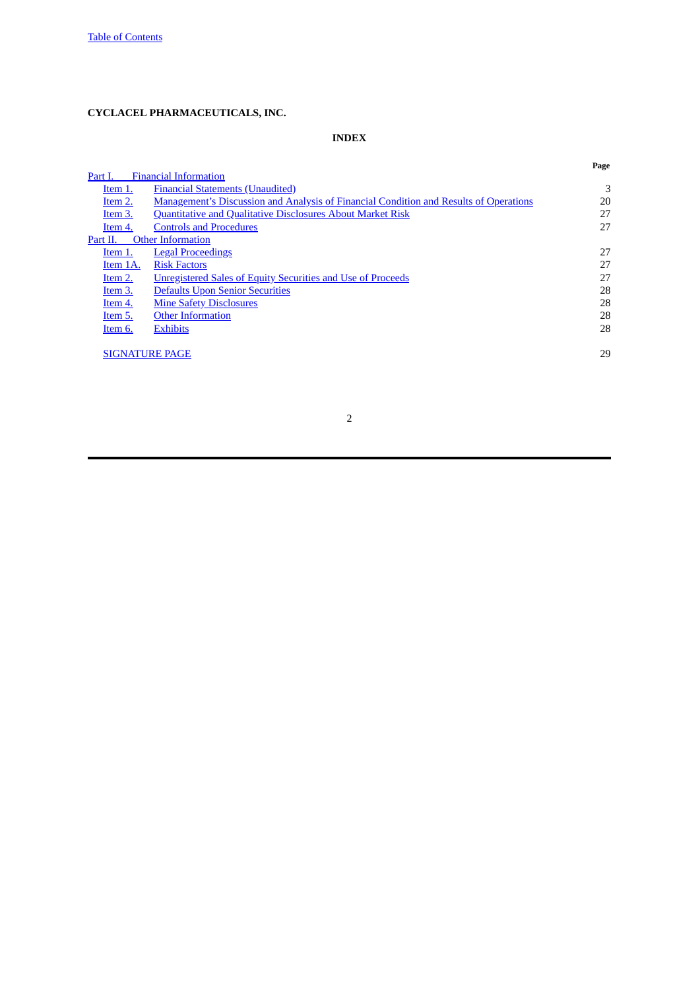# <span id="page-1-0"></span>**CYCLACEL PHARMACEUTICALS, INC.**

# **INDEX**

|          |                                                                                       | Page |
|----------|---------------------------------------------------------------------------------------|------|
| Part I.  | <b>Financial Information</b>                                                          |      |
| Item 1.  | <b>Financial Statements (Unaudited)</b>                                               | 3    |
| Item 2.  | Management's Discussion and Analysis of Financial Condition and Results of Operations | 20   |
| Item 3.  | <b>Quantitative and Qualitative Disclosures About Market Risk</b>                     | 27   |
| Item 4.  | <b>Controls and Procedures</b>                                                        | 27   |
| Part II. | <b>Other Information</b>                                                              |      |
| Item 1.  | <b>Legal Proceedings</b>                                                              | 27   |
| Item 1A. | <b>Risk Factors</b>                                                                   | 27   |
| Item 2.  | Unregistered Sales of Equity Securities and Use of Proceeds                           | 27   |
| Item 3.  | <b>Defaults Upon Senior Securities</b>                                                | 28   |
| Item 4.  | <b>Mine Safety Disclosures</b>                                                        | 28   |
| Item 5.  | <b>Other Information</b>                                                              | 28   |
| Item 6.  | <b>Exhibits</b>                                                                       | 28   |
|          |                                                                                       |      |
|          | <b>SIGNATURE PAGE</b>                                                                 | 29   |
|          |                                                                                       |      |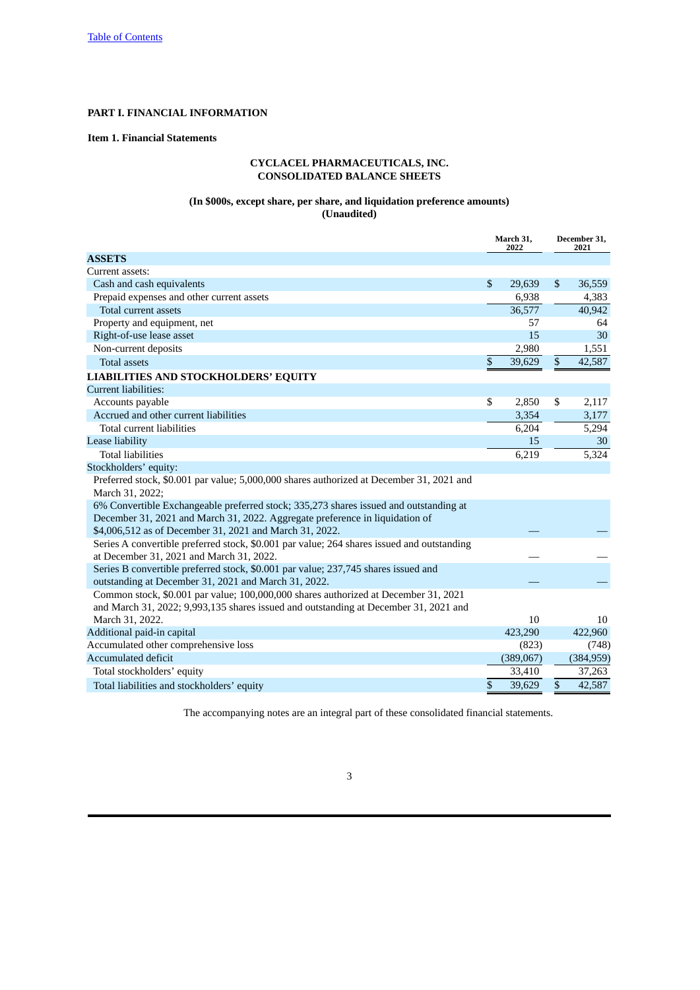# <span id="page-2-0"></span>**PART I. FINANCIAL INFORMATION**

### <span id="page-2-1"></span>**Item 1. Financial Statements**

# **CYCLACEL PHARMACEUTICALS, INC. CONSOLIDATED BALANCE SHEETS**

# **(In \$000s, except share, per share, and liquidation preference amounts) (Unaudited)**

|                                                                                            | March 31,<br>2022 |    | December 31,<br>2021 |
|--------------------------------------------------------------------------------------------|-------------------|----|----------------------|
| <b>ASSETS</b>                                                                              |                   |    |                      |
| Current assets:                                                                            |                   |    |                      |
| Cash and cash equivalents                                                                  | \$<br>29,639      | \$ | 36,559               |
| Prepaid expenses and other current assets                                                  | 6,938             |    | 4,383                |
| <b>Total current assets</b>                                                                | 36,577            |    | 40,942               |
| Property and equipment, net                                                                | 57                |    | 64                   |
| Right-of-use lease asset                                                                   | 15                |    | 30                   |
| Non-current deposits                                                                       | 2,980             |    | 1,551                |
| <b>Total assets</b>                                                                        | \$<br>39,629      | \$ | 42,587               |
| <b>LIABILITIES AND STOCKHOLDERS' EQUITY</b>                                                |                   |    |                      |
| <b>Current liabilities:</b>                                                                |                   |    |                      |
| Accounts payable                                                                           | \$<br>2,850       | \$ | 2,117                |
| Accrued and other current liabilities                                                      | 3,354             |    | 3,177                |
| Total current liabilities                                                                  | 6,204             |    | 5,294                |
| Lease liability                                                                            | 15                |    | 30                   |
| <b>Total liabilities</b>                                                                   | 6,219             |    | 5,324                |
| Stockholders' equity:                                                                      |                   |    |                      |
| Preferred stock, \$0.001 par value; 5,000,000 shares authorized at December 31, 2021 and   |                   |    |                      |
| March 31, 2022;                                                                            |                   |    |                      |
| 6% Convertible Exchangeable preferred stock; 335,273 shares issued and outstanding at      |                   |    |                      |
| December 31, 2021 and March 31, 2022. Aggregate preference in liquidation of               |                   |    |                      |
| \$4,006,512 as of December 31, 2021 and March 31, 2022.                                    |                   |    |                      |
| Series A convertible preferred stock, \$0.001 par value; 264 shares issued and outstanding |                   |    |                      |
| at December 31, 2021 and March 31, 2022.                                                   |                   |    |                      |
| Series B convertible preferred stock, \$0.001 par value; 237,745 shares issued and         |                   |    |                      |
| outstanding at December 31, 2021 and March 31, 2022.                                       |                   |    |                      |
| Common stock, \$0.001 par value; 100,000,000 shares authorized at December 31, 2021        |                   |    |                      |
| and March 31, 2022; 9,993,135 shares issued and outstanding at December 31, 2021 and       |                   |    |                      |
| March 31, 2022.                                                                            | 10                |    | 10                   |
| Additional paid-in capital                                                                 | 423,290           |    | 422,960              |
| Accumulated other comprehensive loss                                                       | (823)             |    | (748)                |
| <b>Accumulated deficit</b>                                                                 | (389,067)         |    | (384, 959)           |
| Total stockholders' equity                                                                 | 33,410            |    | 37,263               |
| Total liabilities and stockholders' equity                                                 | \$<br>39,629      | \$ | 42,587               |

The accompanying notes are an integral part of these consolidated financial statements.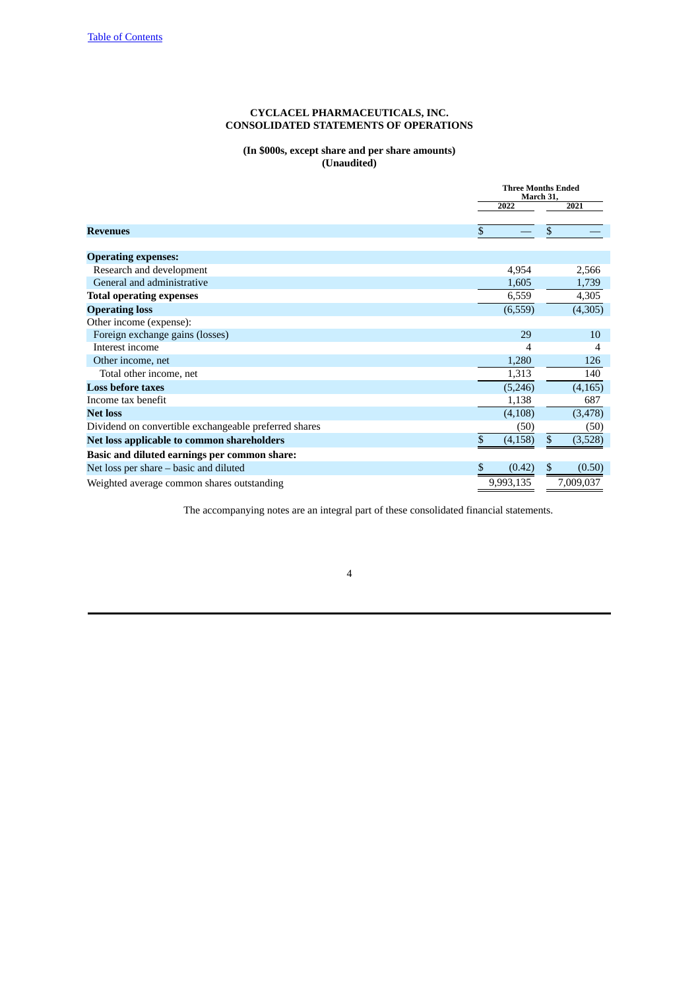# **CYCLACEL PHARMACEUTICALS, INC. CONSOLIDATED STATEMENTS OF OPERATIONS**

# **(In \$000s, except share and per share amounts) (Unaudited)**

|                                                       | <b>Three Months Ended</b><br>March 31, |              |           |  |
|-------------------------------------------------------|----------------------------------------|--------------|-----------|--|
|                                                       | 2022                                   |              | 2021      |  |
| <b>Revenues</b>                                       | \$                                     | $\mathbb{S}$ |           |  |
| <b>Operating expenses:</b>                            |                                        |              |           |  |
| Research and development                              | 4,954                                  |              | 2,566     |  |
| General and administrative                            | 1,605                                  |              | 1,739     |  |
| <b>Total operating expenses</b>                       | 6,559                                  |              | 4,305     |  |
| <b>Operating loss</b>                                 | (6,559)                                |              | (4,305)   |  |
| Other income (expense):                               |                                        |              |           |  |
| Foreign exchange gains (losses)                       | 29                                     |              | 10        |  |
| Interest income                                       | 4                                      |              | 4         |  |
| Other income, net                                     | 1,280                                  |              | 126       |  |
| Total other income, net                               | 1,313                                  |              | 140       |  |
| <b>Loss before taxes</b>                              | (5,246)                                |              | (4, 165)  |  |
| Income tax benefit                                    | 1,138                                  |              | 687       |  |
| <b>Net loss</b>                                       | (4,108)                                |              | (3, 478)  |  |
| Dividend on convertible exchangeable preferred shares | (50)                                   |              | (50)      |  |
| Net loss applicable to common shareholders            | \$<br>(4, 158)                         | \$           | (3,528)   |  |
| Basic and diluted earnings per common share:          |                                        |              |           |  |
| Net loss per share – basic and diluted                | \$<br>(0.42)                           | \$           | (0.50)    |  |
| Weighted average common shares outstanding            | 9,993,135                              |              | 7,009,037 |  |

The accompanying notes are an integral part of these consolidated financial statements.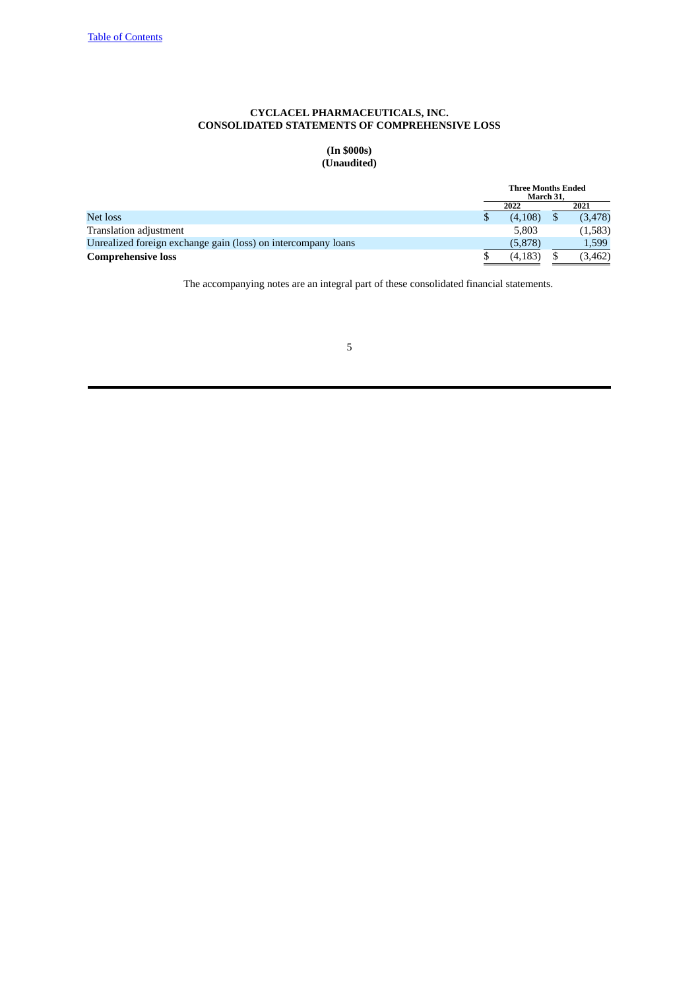# **CYCLACEL PHARMACEUTICALS, INC. CONSOLIDATED STATEMENTS OF COMPREHENSIVE LOSS**

# **(In \$000s) (Unaudited)**

|                                                               | <b>Three Months Ended</b><br>March 31, |          |
|---------------------------------------------------------------|----------------------------------------|----------|
|                                                               | 2022                                   | 2021     |
| Net loss                                                      | (4,108)                                | (3, 478) |
| Translation adjustment                                        | 5,803                                  | (1,583)  |
| Unrealized foreign exchange gain (loss) on intercompany loans | (5,878)                                | 1,599    |
| <b>Comprehensive loss</b>                                     | (4, 183)                               | (3, 462) |

The accompanying notes are an integral part of these consolidated financial statements.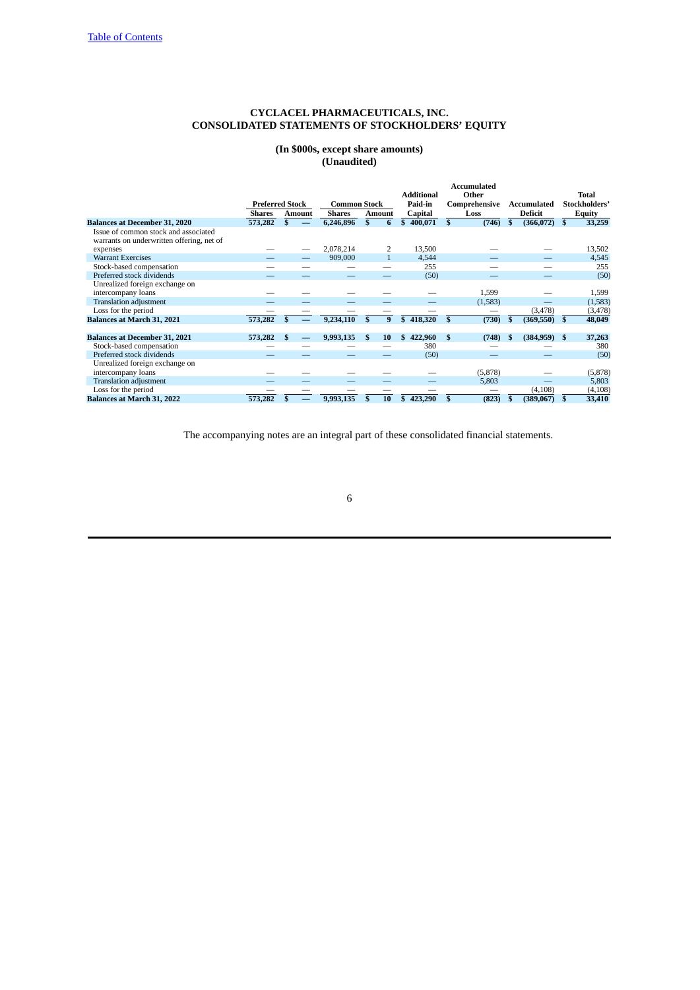#### **CYCLACEL PHARMACEUTICALS, INC. CONSOLIDATED STATEMENTS OF STOCKHOLDERS' EQUITY**

# **(In \$000s, except share amounts) (Unaudited)**

|                                           |                        |               |                     |         | <b>Additional</b> |               | Accumulated<br>Other |    |                | Total         |
|-------------------------------------------|------------------------|---------------|---------------------|---------|-------------------|---------------|----------------------|----|----------------|---------------|
|                                           | <b>Preferred Stock</b> |               | <b>Common Stock</b> |         | Paid-in           |               | Comprehensive        |    | Accumulated    | Stockholders' |
|                                           | <b>Shares</b>          | <b>Amount</b> | <b>Shares</b>       | Amount  | Capital           |               | Loss                 |    | <b>Deficit</b> | Equity        |
| <b>Balances at December 31, 2020</b>      | 573,282                |               | 6,246,896           | \$<br>6 | 400,071<br>\$     | \$            | (746)                | S  | (366, 072)     | \$<br>33,259  |
| Issue of common stock and associated      |                        |               |                     |         |                   |               |                      |    |                |               |
| warrants on underwritten offering, net of |                        |               |                     |         |                   |               |                      |    |                |               |
| expenses                                  |                        |               | 2,078,214           | 2       | 13,500            |               |                      |    |                | 13,502        |
| <b>Warrant Exercises</b>                  |                        |               | 909,000             |         | 4,544             |               |                      |    |                | 4,545         |
| Stock-based compensation                  |                        |               |                     |         | 255               |               |                      |    |                | 255           |
| Preferred stock dividends                 |                        |               |                     |         | (50)              |               |                      |    |                | (50)          |
| Unrealized foreign exchange on            |                        |               |                     |         |                   |               |                      |    |                |               |
| intercompany loans                        |                        |               |                     |         |                   |               | 1,599                |    |                | 1,599         |
| <b>Translation adjustment</b>             |                        |               |                     |         |                   |               | (1,583)              |    |                | (1,583)       |
| Loss for the period                       |                        |               |                     |         |                   |               |                      |    | (3, 478)       | (3, 478)      |
| <b>Balances at March 31, 2021</b>         | 573,282                |               | 9,234,110           | 9       | \$418,320         | \$            | (730)                | S. | (369, 550)     | \$<br>48,049  |
|                                           |                        |               |                     |         |                   |               |                      |    |                |               |
| <b>Balances at December 31, 2021</b>      | 573,282                |               | 9.993.135           | 10      | \$.<br>422,960    | <sup>\$</sup> | (748)                | Æ, | (384,959)      | \$<br>37,263  |
| Stock-based compensation                  |                        |               |                     |         | 380               |               |                      |    |                | 380           |
| Preferred stock dividends                 |                        |               |                     |         | (50)              |               |                      |    |                | (50)          |
| Unrealized foreign exchange on            |                        |               |                     |         |                   |               |                      |    |                |               |
| intercompany loans                        |                        |               |                     |         |                   |               | (5,878)              |    |                | (5,878)       |
| <b>Translation adjustment</b>             |                        |               |                     |         |                   |               | 5,803                |    |                | 5,803         |
| Loss for the period                       |                        |               |                     |         |                   |               |                      |    | (4, 108)       | (4, 108)      |
| <b>Balances at March 31, 2022</b>         | 573,282                |               | 9,993,135           | 10      | 423,290<br>\$     | \$            | (823)                |    | (389,067)      | \$<br>33,410  |

The accompanying notes are an integral part of these consolidated financial statements.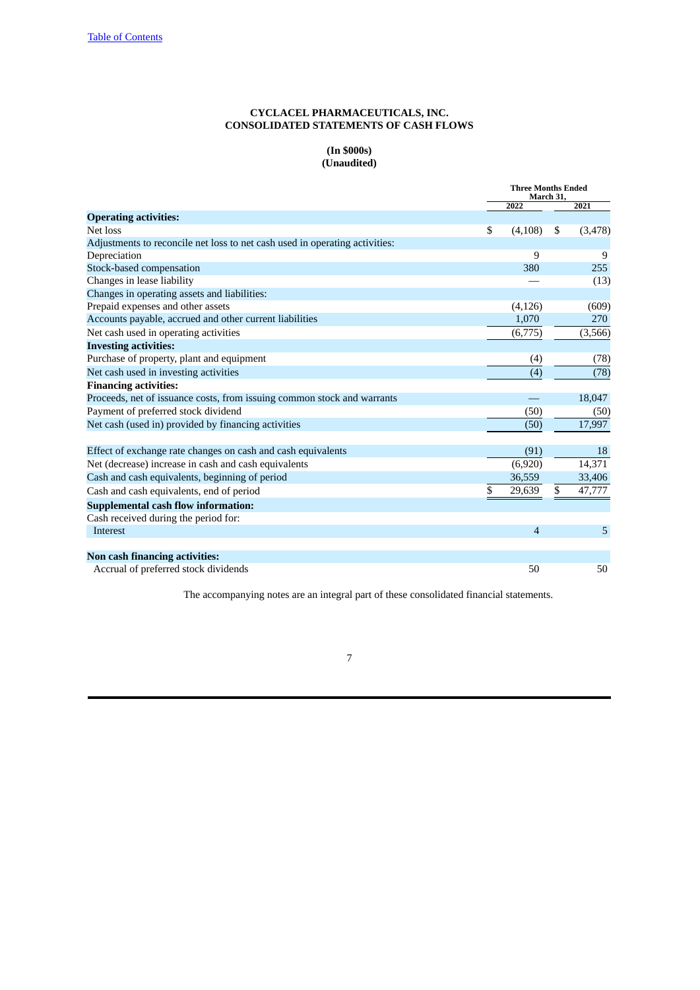# **CYCLACEL PHARMACEUTICALS, INC. CONSOLIDATED STATEMENTS OF CASH FLOWS**

# **(In \$000s) (Unaudited)**

|                                                                             | <b>Three Months Ended</b><br>March 31, |    |                |  |
|-----------------------------------------------------------------------------|----------------------------------------|----|----------------|--|
|                                                                             | 2022                                   |    | 2021           |  |
| <b>Operating activities:</b>                                                |                                        |    |                |  |
| Net loss                                                                    | \$<br>(4, 108)                         | \$ | (3, 478)       |  |
| Adjustments to reconcile net loss to net cash used in operating activities: |                                        |    |                |  |
| Depreciation                                                                | 9                                      |    | 9              |  |
| Stock-based compensation                                                    | 380                                    |    | 255            |  |
| Changes in lease liability                                                  |                                        |    | (13)           |  |
| Changes in operating assets and liabilities:                                |                                        |    |                |  |
| Prepaid expenses and other assets                                           | (4, 126)                               |    | (609)          |  |
| Accounts payable, accrued and other current liabilities                     | 1,070                                  |    | 270            |  |
| Net cash used in operating activities                                       | (6,775)                                |    | (3,566)        |  |
| <b>Investing activities:</b>                                                |                                        |    |                |  |
| Purchase of property, plant and equipment                                   | (4)                                    |    | (78)           |  |
| Net cash used in investing activities                                       | (4)                                    |    | (78)           |  |
| <b>Financing activities:</b>                                                |                                        |    |                |  |
| Proceeds, net of issuance costs, from issuing common stock and warrants     |                                        |    | 18,047         |  |
| Payment of preferred stock dividend                                         | (50)                                   |    | (50)           |  |
| Net cash (used in) provided by financing activities                         | (50)                                   |    | 17,997         |  |
|                                                                             |                                        |    |                |  |
| Effect of exchange rate changes on cash and cash equivalents                | (91)                                   |    | 18             |  |
| Net (decrease) increase in cash and cash equivalents                        | (6,920)                                |    | 14,371         |  |
| Cash and cash equivalents, beginning of period                              | 36,559                                 |    | 33,406         |  |
| Cash and cash equivalents, end of period                                    | \$<br>29,639                           | \$ | 47,777         |  |
| <b>Supplemental cash flow information:</b>                                  |                                        |    |                |  |
| Cash received during the period for:                                        |                                        |    |                |  |
| <b>Interest</b>                                                             | $\overline{4}$                         |    | 5 <sup>5</sup> |  |
| Non cash financing activities:                                              |                                        |    |                |  |
| Accrual of preferred stock dividends                                        | 50                                     |    | 50             |  |

The accompanying notes are an integral part of these consolidated financial statements.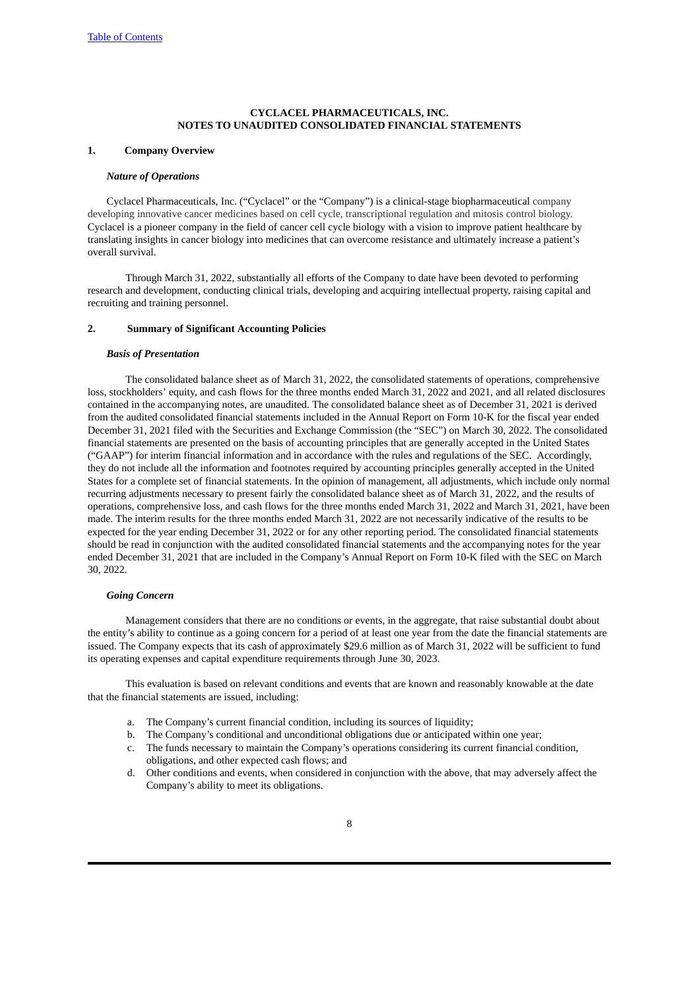### **CYCLACEL PHARMACEUTICALS, INC. NOTES TO UNAUDITED CONSOLIDATED FINANCIAL STATEMENTS**

### **1. Company Overview**

#### *Nature of Operations*

Cyclacel Pharmaceuticals, Inc. ("Cyclacel" or the "Company") is a clinical-stage biopharmaceutical company developing innovative cancer medicines based on cell cycle, transcriptional regulation and mitosis control biology. Cyclacel is a pioneer company in the field of cancer cell cycle biology with a vision to improve patient healthcare by translating insights in cancer biology into medicines that can overcome resistance and ultimately increase a patient's overall survival.

Through March 31, 2022, substantially all efforts of the Company to date have been devoted to performing research and development, conducting clinical trials, developing and acquiring intellectual property, raising capital and recruiting and training personnel.

### **2. Summary of Significant Accounting Policies**

### *Basis of Presentation*

The consolidated balance sheet as of March 31, 2022, the consolidated statements of operations, comprehensive loss, stockholders' equity, and cash flows for the three months ended March 31, 2022 and 2021, and all related disclosures contained in the accompanying notes, are unaudited. The consolidated balance sheet as of December 31, 2021 is derived from the audited consolidated financial statements included in the Annual Report on Form 10-K for the fiscal year ended December 31, 2021 filed with the Securities and Exchange Commission (the "SEC") on March 30, 2022. The consolidated financial statements are presented on the basis of accounting principles that are generally accepted in the United States ("GAAP") for interim financial information and in accordance with the rules and regulations of the SEC. Accordingly, they do not include all the information and footnotes required by accounting principles generally accepted in the United States for a complete set of financial statements. In the opinion of management, all adjustments, which include only normal recurring adjustments necessary to present fairly the consolidated balance sheet as of March 31, 2022, and the results of operations, comprehensive loss, and cash flows for the three months ended March 31, 2022 and March 31, 2021, have been made. The interim results for the three months ended March 31, 2022 are not necessarily indicative of the results to be expected for the year ending December 31, 2022 or for any other reporting period. The consolidated financial statements should be read in conjunction with the audited consolidated financial statements and the accompanying notes for the year ended December 31, 2021 that are included in the Company's Annual Report on Form 10-K filed with the SEC on March 30, 2022.

#### *Going Concern*

Management considers that there are no conditions or events, in the aggregate, that raise substantial doubt about the entity's ability to continue as a going concern for a period of at least one year from the date the financial statements are issued. The Company expects that its cash of approximately \$29.6 million as of March 31, 2022 will be sufficient to fund its operating expenses and capital expenditure requirements through June 30, 2023.

This evaluation is based on relevant conditions and events that are known and reasonably knowable at the date that the financial statements are issued, including:

- a. The Company's current financial condition, including its sources of liquidity;
- b. The Company's conditional and unconditional obligations due or anticipated within one year;
- c. The funds necessary to maintain the Company's operations considering its current financial condition, obligations, and other expected cash flows; and
- d. Other conditions and events, when considered in conjunction with the above, that may adversely affect the Company's ability to meet its obligations.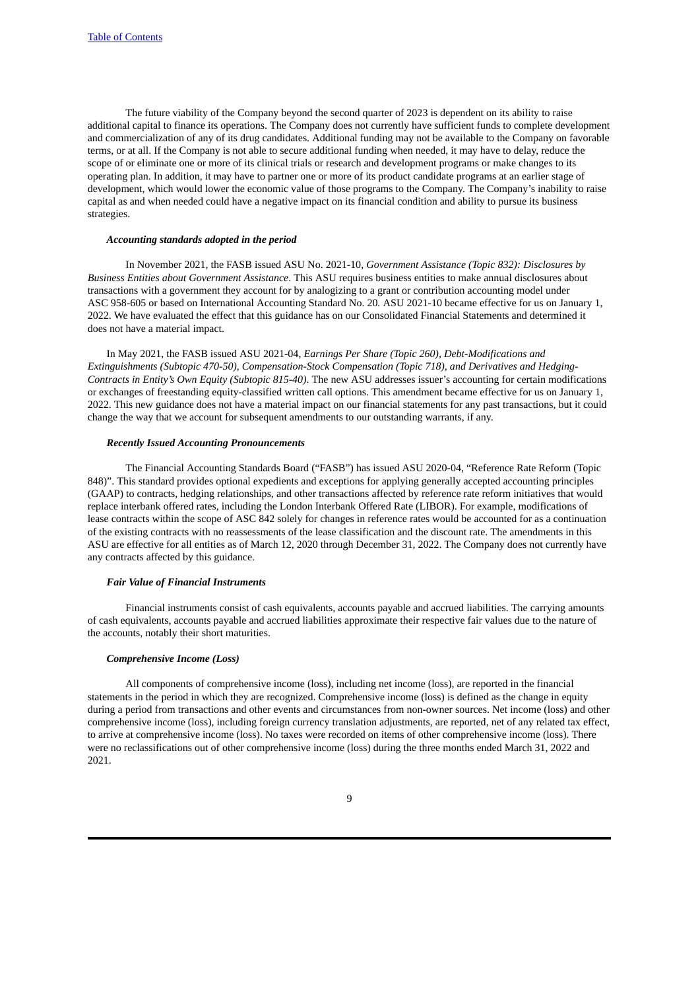The future viability of the Company beyond the second quarter of 2023 is dependent on its ability to raise additional capital to finance its operations. The Company does not currently have sufficient funds to complete development and commercialization of any of its drug candidates. Additional funding may not be available to the Company on favorable terms, or at all. If the Company is not able to secure additional funding when needed, it may have to delay, reduce the scope of or eliminate one or more of its clinical trials or research and development programs or make changes to its operating plan. In addition, it may have to partner one or more of its product candidate programs at an earlier stage of development, which would lower the economic value of those programs to the Company. The Company's inability to raise capital as and when needed could have a negative impact on its financial condition and ability to pursue its business strategies.

#### *Accounting standards adopted in the period*

In November 2021*,* the FASB issued ASU No. 2021-10, *Government Assistance (Topic 832): Disclosures by Business Entities about Government Assistance*. This ASU requires business entities to make annual disclosures about transactions with a government they account for by analogizing to a grant or contribution accounting model under ASC 958-605 or based on International Accounting Standard No. 20*.* ASU 2021-10 became effective for us on January 1, 2022. We have evaluated the effect that this guidance has on our Consolidated Financial Statements and determined it does not have a material impact.

In May 2021, the FASB issued ASU 2021-04, *Earnings Per Share (Topic 260), Debt-Modifications and Extinguishments (Subtopic 470-50), Compensation-Stock Compensation (Topic 718), and Derivatives and Hedging-Contracts in Entity's Own Equity (Subtopic 815-40)*. The new ASU addresses issuer's accounting for certain modifications or exchanges of freestanding equity-classified written call options. This amendment became effective for us on January 1, 2022. This new guidance does not have a material impact on our financial statements for any past transactions, but it could change the way that we account for subsequent amendments to our outstanding warrants, if any.

### *Recently Issued Accounting Pronouncements*

The Financial Accounting Standards Board ("FASB") has issued ASU 2020-04, "Reference Rate Reform (Topic 848)". This standard provides optional expedients and exceptions for applying generally accepted accounting principles (GAAP) to contracts, hedging relationships, and other transactions affected by reference rate reform initiatives that would replace interbank offered rates, including the London Interbank Offered Rate (LIBOR). For example, modifications of lease contracts within the scope of ASC 842 solely for changes in reference rates would be accounted for as a continuation of the existing contracts with no reassessments of the lease classification and the discount rate. The amendments in this ASU are effective for all entities as of March 12, 2020 through December 31, 2022. The Company does not currently have any contracts affected by this guidance.

#### *Fair Value of Financial Instruments*

Financial instruments consist of cash equivalents, accounts payable and accrued liabilities. The carrying amounts of cash equivalents, accounts payable and accrued liabilities approximate their respective fair values due to the nature of the accounts, notably their short maturities.

#### *Comprehensive Income (Loss)*

All components of comprehensive income (loss), including net income (loss), are reported in the financial statements in the period in which they are recognized. Comprehensive income (loss) is defined as the change in equity during a period from transactions and other events and circumstances from non-owner sources. Net income (loss) and other comprehensive income (loss), including foreign currency translation adjustments, are reported, net of any related tax effect, to arrive at comprehensive income (loss). No taxes were recorded on items of other comprehensive income (loss). There were no reclassifications out of other comprehensive income (loss) during the three months ended March 31, 2022 and 2021.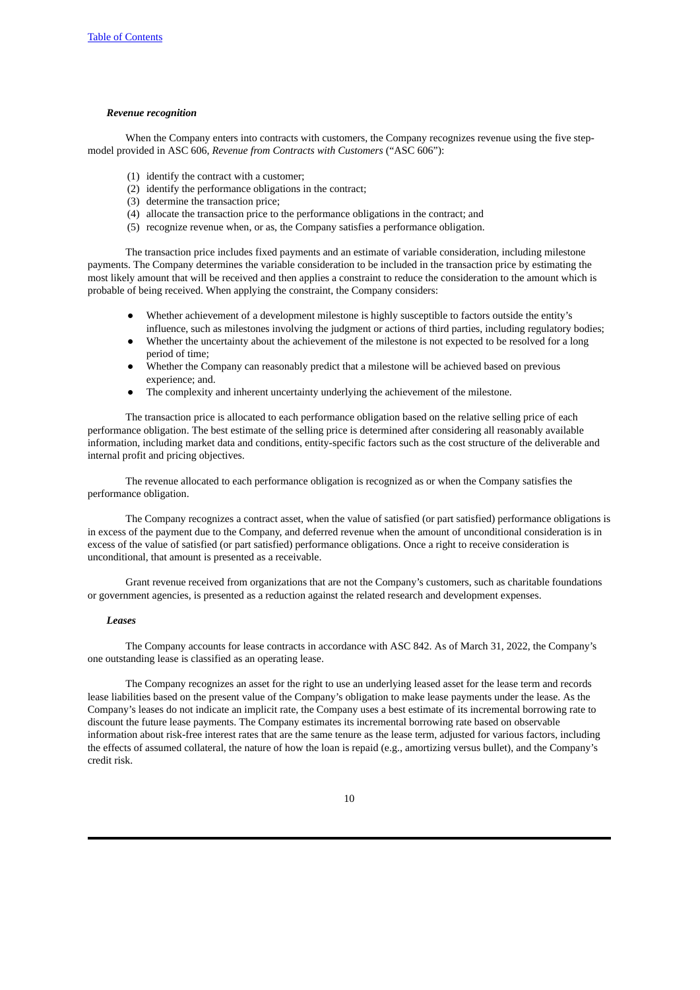### *Revenue recognition*

When the Company enters into contracts with customers, the Company recognizes revenue using the five stepmodel provided in ASC 606, *Revenue from Contracts with Customers* ("ASC 606"):

- (1) identify the contract with a customer;
- (2) identify the performance obligations in the contract;
- (3) determine the transaction price;
- (4) allocate the transaction price to the performance obligations in the contract; and
- (5) recognize revenue when, or as, the Company satisfies a performance obligation.

The transaction price includes fixed payments and an estimate of variable consideration, including milestone payments. The Company determines the variable consideration to be included in the transaction price by estimating the most likely amount that will be received and then applies a constraint to reduce the consideration to the amount which is probable of being received. When applying the constraint, the Company considers:

- Whether achievement of a development milestone is highly susceptible to factors outside the entity's influence, such as milestones involving the judgment or actions of third parties, including regulatory bodies;
- Whether the uncertainty about the achievement of the milestone is not expected to be resolved for a long period of time;
- Whether the Company can reasonably predict that a milestone will be achieved based on previous experience; and.
- The complexity and inherent uncertainty underlying the achievement of the milestone.

The transaction price is allocated to each performance obligation based on the relative selling price of each performance obligation. The best estimate of the selling price is determined after considering all reasonably available information, including market data and conditions, entity-specific factors such as the cost structure of the deliverable and internal profit and pricing objectives.

The revenue allocated to each performance obligation is recognized as or when the Company satisfies the performance obligation.

The Company recognizes a contract asset, when the value of satisfied (or part satisfied) performance obligations is in excess of the payment due to the Company, and deferred revenue when the amount of unconditional consideration is in excess of the value of satisfied (or part satisfied) performance obligations. Once a right to receive consideration is unconditional, that amount is presented as a receivable.

Grant revenue received from organizations that are not the Company's customers, such as charitable foundations or government agencies, is presented as a reduction against the related research and development expenses.

#### *Leases*

The Company accounts for lease contracts in accordance with ASC 842. As of March 31, 2022, the Company's one outstanding lease is classified as an operating lease.

The Company recognizes an asset for the right to use an underlying leased asset for the lease term and records lease liabilities based on the present value of the Company's obligation to make lease payments under the lease. As the Company's leases do not indicate an implicit rate, the Company uses a best estimate of its incremental borrowing rate to discount the future lease payments. The Company estimates its incremental borrowing rate based on observable information about risk-free interest rates that are the same tenure as the lease term, adjusted for various factors, including the effects of assumed collateral, the nature of how the loan is repaid (e.g., amortizing versus bullet), and the Company's credit risk.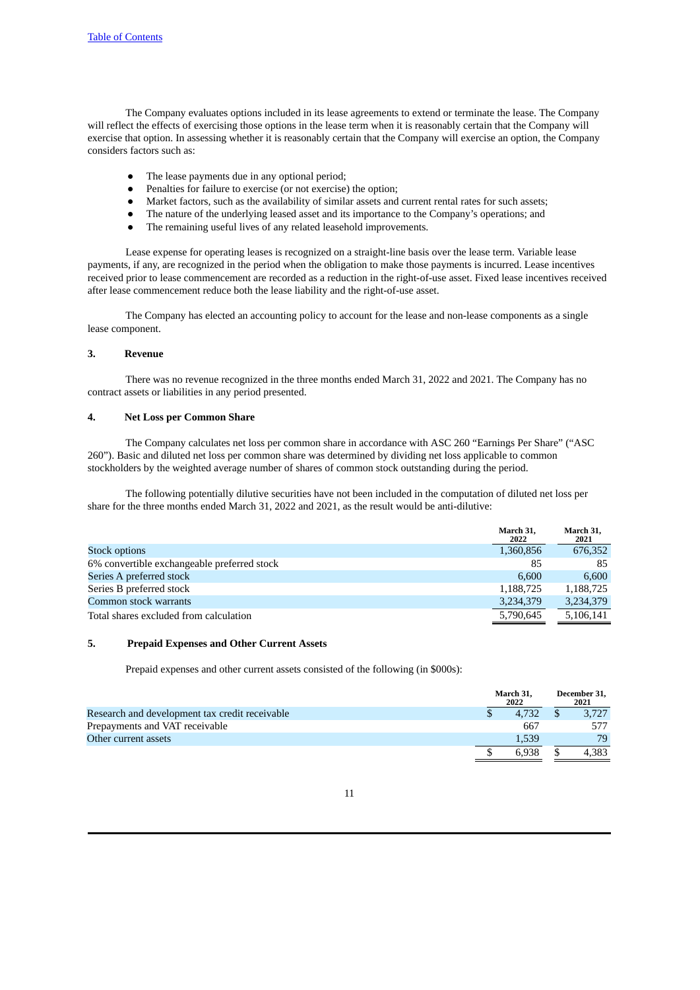The Company evaluates options included in its lease agreements to extend or terminate the lease. The Company will reflect the effects of exercising those options in the lease term when it is reasonably certain that the Company will exercise that option. In assessing whether it is reasonably certain that the Company will exercise an option, the Company considers factors such as:

- The lease payments due in any optional period;
- Penalties for failure to exercise (or not exercise) the option;
- Market factors, such as the availability of similar assets and current rental rates for such assets;
- The nature of the underlying leased asset and its importance to the Company's operations; and
- The remaining useful lives of any related leasehold improvements.

Lease expense for operating leases is recognized on a straight-line basis over the lease term. Variable lease payments, if any, are recognized in the period when the obligation to make those payments is incurred. Lease incentives received prior to lease commencement are recorded as a reduction in the right-of-use asset. Fixed lease incentives received after lease commencement reduce both the lease liability and the right-of-use asset.

The Company has elected an accounting policy to account for the lease and non-lease components as a single lease component.

# **3. Revenue**

There was no revenue recognized in the three months ended March 31, 2022 and 2021. The Company has no contract assets or liabilities in any period presented.

### **4. Net Loss per Common Share**

The Company calculates net loss per common share in accordance with ASC 260 "Earnings Per Share" ("ASC 260"). Basic and diluted net loss per common share was determined by dividing net loss applicable to common stockholders by the weighted average number of shares of common stock outstanding during the period.

The following potentially dilutive securities have not been included in the computation of diluted net loss per share for the three months ended March 31, 2022 and 2021, as the result would be anti-dilutive:

|                                             | March 31.<br>2022 | March 31,<br>2021 |
|---------------------------------------------|-------------------|-------------------|
| Stock options                               | 1,360,856         | 676,352           |
| 6% convertible exchangeable preferred stock | 85                | 85                |
| Series A preferred stock                    | 6.600             | 6.600             |
| Series B preferred stock                    | 1,188,725         | 1,188,725         |
| Common stock warrants                       | 3,234,379         | 3,234,379         |
| Total shares excluded from calculation      | 5,790,645         | 5,106,141         |

## **5. Prepaid Expenses and Other Current Assets**

Prepaid expenses and other current assets consisted of the following (in \$000s):

|                                                | March 31.<br>2022 | December 31,<br>2021 |
|------------------------------------------------|-------------------|----------------------|
| Research and development tax credit receivable | 4.732             | 3.727                |
| Prepayments and VAT receivable                 | 667               | 577                  |
| Other current assets                           | 1.539             | 79                   |
|                                                | 6.938             | 4.383                |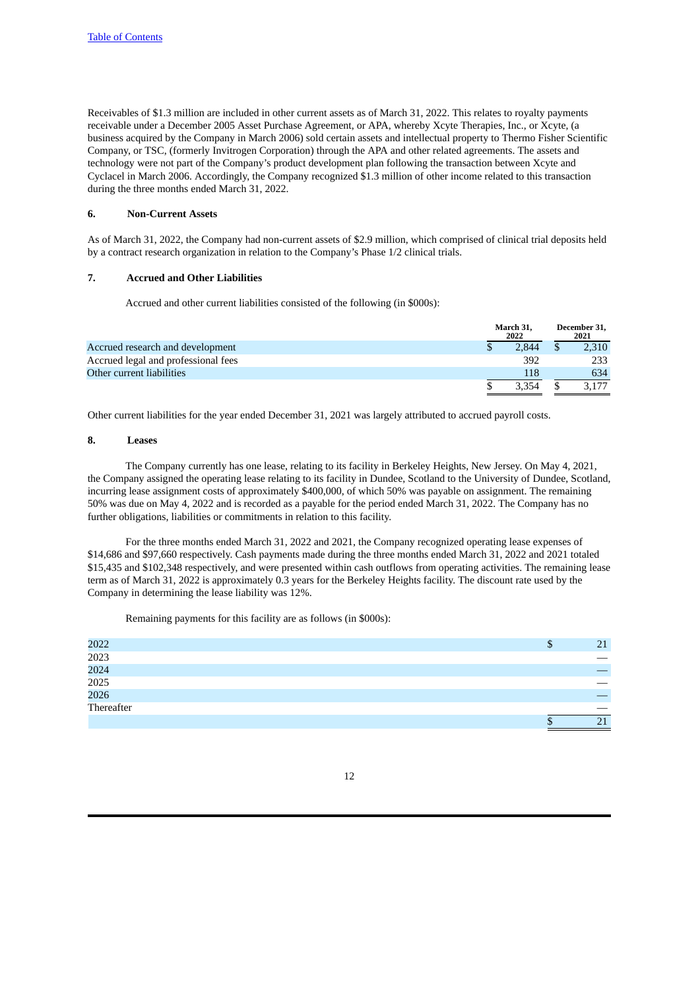Receivables of \$1.3 million are included in other current assets as of March 31, 2022. This relates to royalty payments receivable under a December 2005 Asset Purchase Agreement, or APA, whereby Xcyte Therapies, Inc., or Xcyte, (a business acquired by the Company in March 2006) sold certain assets and intellectual property to Thermo Fisher Scientific Company, or TSC, (formerly Invitrogen Corporation) through the APA and other related agreements. The assets and technology were not part of the Company's product development plan following the transaction between Xcyte and Cyclacel in March 2006. Accordingly, the Company recognized \$1.3 million of other income related to this transaction during the three months ended March 31, 2022.

### **6. Non-Current Assets**

As of March 31, 2022, the Company had non-current assets of \$2.9 million, which comprised of clinical trial deposits held by a contract research organization in relation to the Company's Phase 1/2 clinical trials.

# **7. Accrued and Other Liabilities**

Accrued and other current liabilities consisted of the following (in \$000s):

|                                     | March 31,<br>2022 | December 31,<br>2021 |       |  |
|-------------------------------------|-------------------|----------------------|-------|--|
| Accrued research and development    | 2.844             |                      | 2.310 |  |
| Accrued legal and professional fees | 392               |                      | 233   |  |
| Other current liabilities           | 118               |                      | 634   |  |
|                                     | 3.354             |                      | 3 177 |  |

Other current liabilities for the year ended December 31, 2021 was largely attributed to accrued payroll costs.

### **8. Leases**

The Company currently has one lease, relating to its facility in Berkeley Heights, New Jersey. On May 4, 2021, the Company assigned the operating lease relating to its facility in Dundee, Scotland to the University of Dundee, Scotland, incurring lease assignment costs of approximately \$400,000, of which 50% was payable on assignment. The remaining 50% was due on May 4, 2022 and is recorded as a payable for the period ended March 31, 2022. The Company has no further obligations, liabilities or commitments in relation to this facility.

For the three months ended March 31, 2022 and 2021, the Company recognized operating lease expenses of \$14,686 and \$97,660 respectively. Cash payments made during the three months ended March 31, 2022 and 2021 totaled \$15,435 and \$102,348 respectively, and were presented within cash outflows from operating activities. The remaining lease term as of March 31, 2022 is approximately 0.3 years for the Berkeley Heights facility. The discount rate used by the Company in determining the lease liability was 12%.

Remaining payments for this facility are as follows (in \$000s):

| 2022                               | Φ  | 21 |
|------------------------------------|----|----|
| 2023                               |    |    |
|                                    |    |    |
|                                    |    |    |
| 2024<br>2025<br>2026<br>Thereafter |    |    |
|                                    |    |    |
|                                    | ٠D | 21 |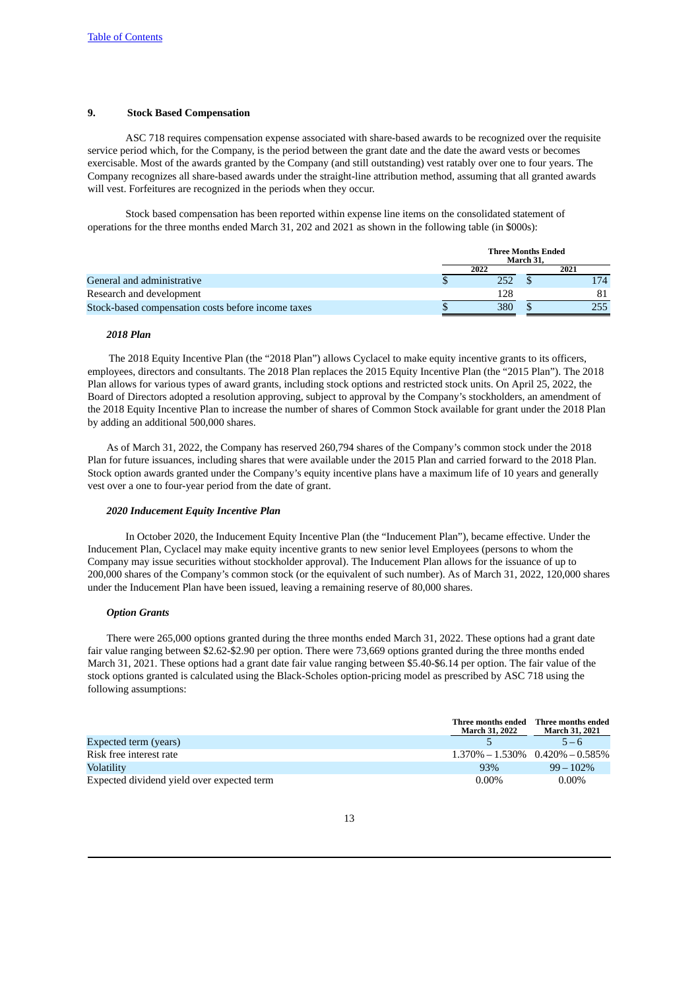#### **9. Stock Based Compensation**

ASC 718 requires compensation expense associated with share-based awards to be recognized over the requisite service period which, for the Company, is the period between the grant date and the date the award vests or becomes exercisable. Most of the awards granted by the Company (and still outstanding) vest ratably over one to four years. The Company recognizes all share-based awards under the straight-line attribution method, assuming that all granted awards will vest. Forfeitures are recognized in the periods when they occur.

Stock based compensation has been reported within expense line items on the consolidated statement of operations for the three months ended March 31, 202 and 2021 as shown in the following table (in \$000s):

|                                                    | <b>Three Months Ended</b> | March 31. |      |
|----------------------------------------------------|---------------------------|-----------|------|
|                                                    | 2022                      |           | 2021 |
| General and administrative                         | 252                       |           | 174  |
| Research and development                           | 128                       |           | 81   |
| Stock-based compensation costs before income taxes | 380                       |           | 255  |

### *2018 Plan*

The 2018 Equity Incentive Plan (the "2018 Plan") allows Cyclacel to make equity incentive grants to its officers, employees, directors and consultants. The 2018 Plan replaces the 2015 Equity Incentive Plan (the "2015 Plan"). The 2018 Plan allows for various types of award grants, including stock options and restricted stock units. On April 25, 2022, the Board of Directors adopted a resolution approving, subject to approval by the Company's stockholders, an amendment of the 2018 Equity Incentive Plan to increase the number of shares of Common Stock available for grant under the 2018 Plan by adding an additional 500,000 shares.

As of March 31, 2022, the Company has reserved 260,794 shares of the Company's common stock under the 2018 Plan for future issuances, including shares that were available under the 2015 Plan and carried forward to the 2018 Plan. Stock option awards granted under the Company's equity incentive plans have a maximum life of 10 years and generally vest over a one to four-year period from the date of grant.

#### *2020 Inducement Equity Incentive Plan*

In October 2020, the Inducement Equity Incentive Plan (the "Inducement Plan"), became effective. Under the Inducement Plan, Cyclacel may make equity incentive grants to new senior level Employees (persons to whom the Company may issue securities without stockholder approval). The Inducement Plan allows for the issuance of up to 200,000 shares of the Company's common stock (or the equivalent of such number). As of March 31, 2022, 120,000 shares under the Inducement Plan have been issued, leaving a remaining reserve of 80,000 shares.

#### *Option Grants*

There were 265,000 options granted during the three months ended March 31, 2022. These options had a grant date fair value ranging between \$2.62-\$2.90 per option. There were 73,669 options granted during the three months ended March 31, 2021. These options had a grant date fair value ranging between \$5.40-\$6.14 per option. The fair value of the stock options granted is calculated using the Black-Scholes option-pricing model as prescribed by ASC 718 using the following assumptions:

|                                            | Three months ended Three months ended<br>March 31, 2022 | March 31, 2021                              |
|--------------------------------------------|---------------------------------------------------------|---------------------------------------------|
| Expected term (years)                      |                                                         | $5 - 6$                                     |
| Risk free interest rate                    |                                                         | $1.370\% - 1.530\% \quad 0.420\% - 0.585\%$ |
| Volatility                                 | 93%                                                     | $99 - 102\%$                                |
| Expected dividend yield over expected term | $0.00\%$                                                | $0.00\%$                                    |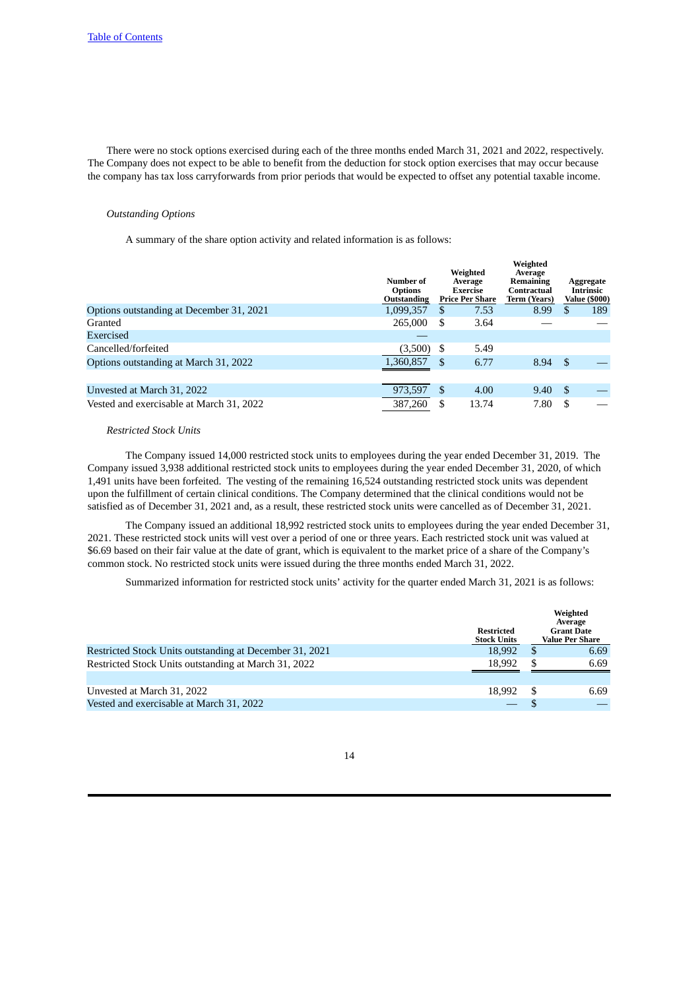There were no stock options exercised during each of the three months ended March 31, 2021 and 2022, respectively. The Company does not expect to be able to benefit from the deduction for stock option exercises that may occur because the company has tax loss carryforwards from prior periods that would be expected to offset any potential taxable income.

#### *Outstanding Options*

A summary of the share option activity and related information is as follows:

|                                          | Number of<br><b>Options</b><br>Outstanding |   | Weighted<br>Average<br>Exercise<br><b>Price Per Share</b> | Weighted<br>Average<br>Remaining<br>Contractual<br>Term (Years) |    | Aggregate<br><b>Intrinsic</b><br><b>Value (\$000)</b> |
|------------------------------------------|--------------------------------------------|---|-----------------------------------------------------------|-----------------------------------------------------------------|----|-------------------------------------------------------|
| Options outstanding at December 31, 2021 | 1,099,357                                  | S | 7.53                                                      | 8.99                                                            | \$ | 189                                                   |
| Granted                                  | 265,000                                    | S | 3.64                                                      |                                                                 |    |                                                       |
| Exercised                                |                                            |   |                                                           |                                                                 |    |                                                       |
| Cancelled/forfeited                      | (3,500)                                    | S | 5.49                                                      |                                                                 |    |                                                       |
| Options outstanding at March 31, 2022    | 1,360,857                                  | S | 6.77                                                      | 8.94 <sup>5</sup>                                               |    |                                                       |
|                                          |                                            |   |                                                           |                                                                 |    |                                                       |
| Unvested at March 31, 2022               | 973,597                                    | S | 4.00                                                      | 9.40                                                            | -S |                                                       |
| Vested and exercisable at March 31, 2022 | 387,260                                    |   | 13.74                                                     | 7.80                                                            | S  |                                                       |

# *Restricted Stock Units*

The Company issued 14,000 restricted stock units to employees during the year ended December 31, 2019. The Company issued 3,938 additional restricted stock units to employees during the year ended December 31, 2020, of which 1,491 units have been forfeited. The vesting of the remaining 16,524 outstanding restricted stock units was dependent upon the fulfillment of certain clinical conditions. The Company determined that the clinical conditions would not be satisfied as of December 31, 2021 and, as a result, these restricted stock units were cancelled as of December 31, 2021.

The Company issued an additional 18,992 restricted stock units to employees during the year ended December 31, 2021. These restricted stock units will vest over a period of one or three years. Each restricted stock unit was valued at \$6.69 based on their fair value at the date of grant, which is equivalent to the market price of a share of the Company's common stock. No restricted stock units were issued during the three months ended March 31, 2022.

Summarized information for restricted stock units' activity for the quarter ended March 31, 2021 is as follows:

|                                                         | <b>Restricted</b><br><b>Stock Units</b> |   | Weighted<br>Average<br><b>Grant Date</b><br><b>Value Per Share</b> |
|---------------------------------------------------------|-----------------------------------------|---|--------------------------------------------------------------------|
| Restricted Stock Units outstanding at December 31, 2021 | 18.992                                  | S | 6.69                                                               |
| Restricted Stock Units outstanding at March 31, 2022    | 18.992                                  | S | 6.69                                                               |
|                                                         |                                         |   |                                                                    |
| Unvested at March 31, 2022                              | 18.992                                  | S | 6.69                                                               |
| Vested and exercisable at March 31, 2022                |                                         |   |                                                                    |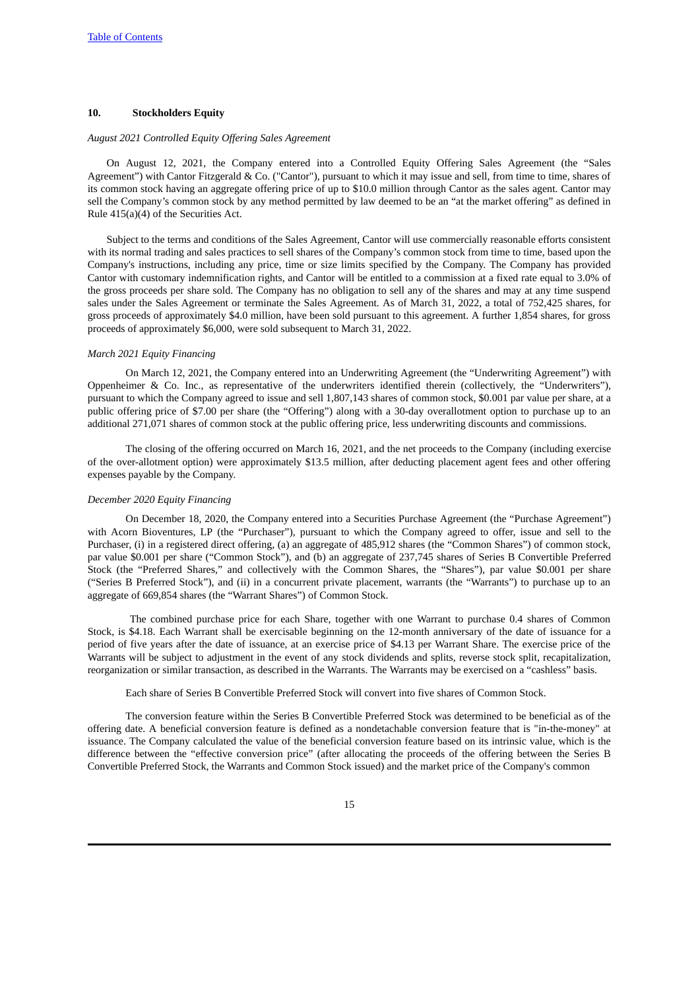### **10. Stockholders Equity**

### *August 2021 Controlled Equity Offering Sales Agreement*

On August 12, 2021, the Company entered into a Controlled Equity Offering Sales Agreement (the "Sales Agreement") with Cantor Fitzgerald & Co. ("Cantor"), pursuant to which it may issue and sell, from time to time, shares of its common stock having an aggregate offering price of up to \$10.0 million through Cantor as the sales agent. Cantor may sell the Company's common stock by any method permitted by law deemed to be an "at the market offering" as defined in Rule 415(a)(4) of the Securities Act.

Subject to the terms and conditions of the Sales Agreement, Cantor will use commercially reasonable efforts consistent with its normal trading and sales practices to sell shares of the Company's common stock from time to time, based upon the Company's instructions, including any price, time or size limits specified by the Company. The Company has provided Cantor with customary indemnification rights, and Cantor will be entitled to a commission at a fixed rate equal to 3.0% of the gross proceeds per share sold. The Company has no obligation to sell any of the shares and may at any time suspend sales under the Sales Agreement or terminate the Sales Agreement. As of March 31, 2022, a total of 752,425 shares, for gross proceeds of approximately \$4.0 million, have been sold pursuant to this agreement. A further 1,854 shares, for gross proceeds of approximately \$6,000, were sold subsequent to March 31, 2022.

### *March 2021 Equity Financing*

On March 12, 2021, the Company entered into an Underwriting Agreement (the "Underwriting Agreement") with Oppenheimer & Co. Inc., as representative of the underwriters identified therein (collectively, the "Underwriters"), pursuant to which the Company agreed to issue and sell 1,807,143 shares of common stock, \$0.001 par value per share, at a public offering price of \$7.00 per share (the "Offering") along with a 30-day overallotment option to purchase up to an additional 271,071 shares of common stock at the public offering price, less underwriting discounts and commissions.

The closing of the offering occurred on March 16, 2021, and the net proceeds to the Company (including exercise of the over-allotment option) were approximately \$13.5 million, after deducting placement agent fees and other offering expenses payable by the Company.

#### *December 2020 Equity Financing*

On December 18, 2020, the Company entered into a Securities Purchase Agreement (the "Purchase Agreement") with Acorn Bioventures, LP (the "Purchaser"), pursuant to which the Company agreed to offer, issue and sell to the Purchaser, (i) in a registered direct offering, (a) an aggregate of 485,912 shares (the "Common Shares") of common stock, par value \$0.001 per share ("Common Stock"), and (b) an aggregate of 237,745 shares of Series B Convertible Preferred Stock (the "Preferred Shares," and collectively with the Common Shares, the "Shares"), par value \$0.001 per share ("Series B Preferred Stock"), and (ii) in a concurrent private placement, warrants (the "Warrants") to purchase up to an aggregate of 669,854 shares (the "Warrant Shares") of Common Stock.

The combined purchase price for each Share, together with one Warrant to purchase 0.4 shares of Common Stock, is \$4.18. Each Warrant shall be exercisable beginning on the 12-month anniversary of the date of issuance for a period of five years after the date of issuance, at an exercise price of \$4.13 per Warrant Share. The exercise price of the Warrants will be subject to adjustment in the event of any stock dividends and splits, reverse stock split, recapitalization, reorganization or similar transaction, as described in the Warrants. The Warrants may be exercised on a "cashless" basis.

Each share of Series B Convertible Preferred Stock will convert into five shares of Common Stock.

The conversion feature within the Series B Convertible Preferred Stock was determined to be beneficial as of the offering date. A beneficial conversion feature is defined as a nondetachable conversion feature that is "in-the-money" at issuance. The Company calculated the value of the beneficial conversion feature based on its intrinsic value, which is the difference between the "effective conversion price" (after allocating the proceeds of the offering between the Series B Convertible Preferred Stock, the Warrants and Common Stock issued) and the market price of the Company's common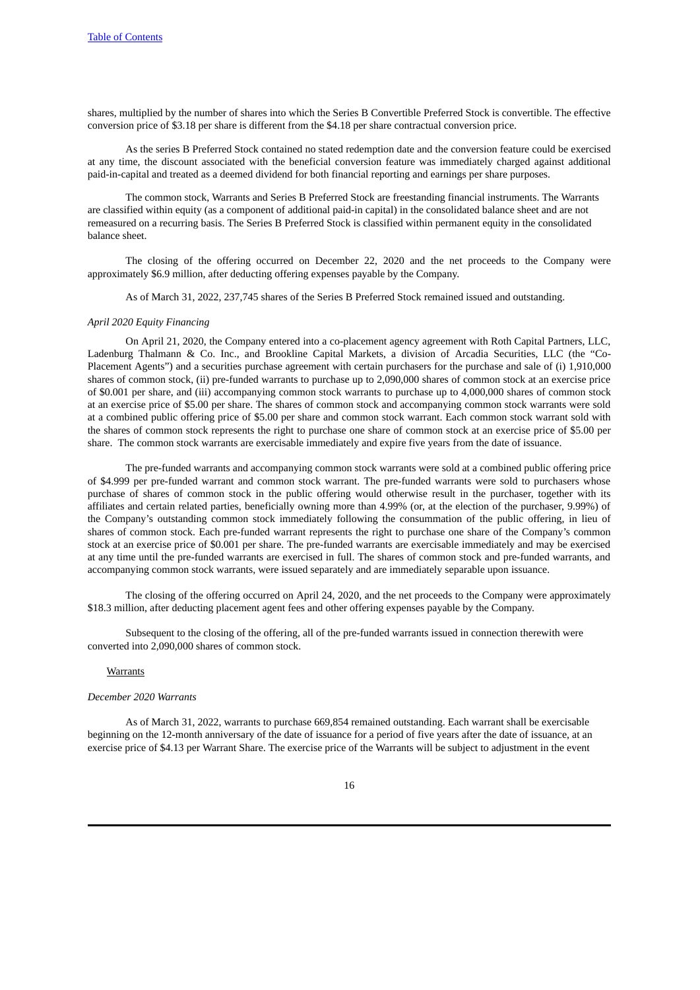shares, multiplied by the number of shares into which the Series B Convertible Preferred Stock is convertible. The effective conversion price of \$3.18 per share is different from the \$4.18 per share contractual conversion price.

As the series B Preferred Stock contained no stated redemption date and the conversion feature could be exercised at any time, the discount associated with the beneficial conversion feature was immediately charged against additional paid-in-capital and treated as a deemed dividend for both financial reporting and earnings per share purposes.

The common stock, Warrants and Series B Preferred Stock are freestanding financial instruments. The Warrants are classified within equity (as a component of additional paid-in capital) in the consolidated balance sheet and are not remeasured on a recurring basis. The Series B Preferred Stock is classified within permanent equity in the consolidated balance sheet.

The closing of the offering occurred on December 22, 2020 and the net proceeds to the Company were approximately \$6.9 million, after deducting offering expenses payable by the Company.

As of March 31, 2022, 237,745 shares of the Series B Preferred Stock remained issued and outstanding.

#### *April 2020 Equity Financing*

On April 21, 2020, the Company entered into a co-placement agency agreement with Roth Capital Partners, LLC, Ladenburg Thalmann & Co. Inc., and Brookline Capital Markets, a division of Arcadia Securities, LLC (the "Co-Placement Agents") and a securities purchase agreement with certain purchasers for the purchase and sale of (i) 1,910,000 shares of common stock, (ii) pre-funded warrants to purchase up to 2,090,000 shares of common stock at an exercise price of \$0.001 per share, and (iii) accompanying common stock warrants to purchase up to 4,000,000 shares of common stock at an exercise price of \$5.00 per share. The shares of common stock and accompanying common stock warrants were sold at a combined public offering price of \$5.00 per share and common stock warrant. Each common stock warrant sold with the shares of common stock represents the right to purchase one share of common stock at an exercise price of \$5.00 per share. The common stock warrants are exercisable immediately and expire five years from the date of issuance.

The pre-funded warrants and accompanying common stock warrants were sold at a combined public offering price of \$4.999 per pre-funded warrant and common stock warrant. The pre-funded warrants were sold to purchasers whose purchase of shares of common stock in the public offering would otherwise result in the purchaser, together with its affiliates and certain related parties, beneficially owning more than 4.99% (or, at the election of the purchaser, 9.99%) of the Company's outstanding common stock immediately following the consummation of the public offering, in lieu of shares of common stock. Each pre-funded warrant represents the right to purchase one share of the Company's common stock at an exercise price of \$0.001 per share. The pre-funded warrants are exercisable immediately and may be exercised at any time until the pre-funded warrants are exercised in full. The shares of common stock and pre-funded warrants, and accompanying common stock warrants, were issued separately and are immediately separable upon issuance.

The closing of the offering occurred on April 24, 2020, and the net proceeds to the Company were approximately \$18.3 million, after deducting placement agent fees and other offering expenses payable by the Company.

Subsequent to the closing of the offering, all of the pre-funded warrants issued in connection therewith were converted into 2,090,000 shares of common stock.

#### **Warrants**

#### *December 2020 Warrants*

As of March 31, 2022, warrants to purchase 669,854 remained outstanding. Each warrant shall be exercisable beginning on the 12-month anniversary of the date of issuance for a period of five years after the date of issuance, at an exercise price of \$4.13 per Warrant Share. The exercise price of the Warrants will be subject to adjustment in the event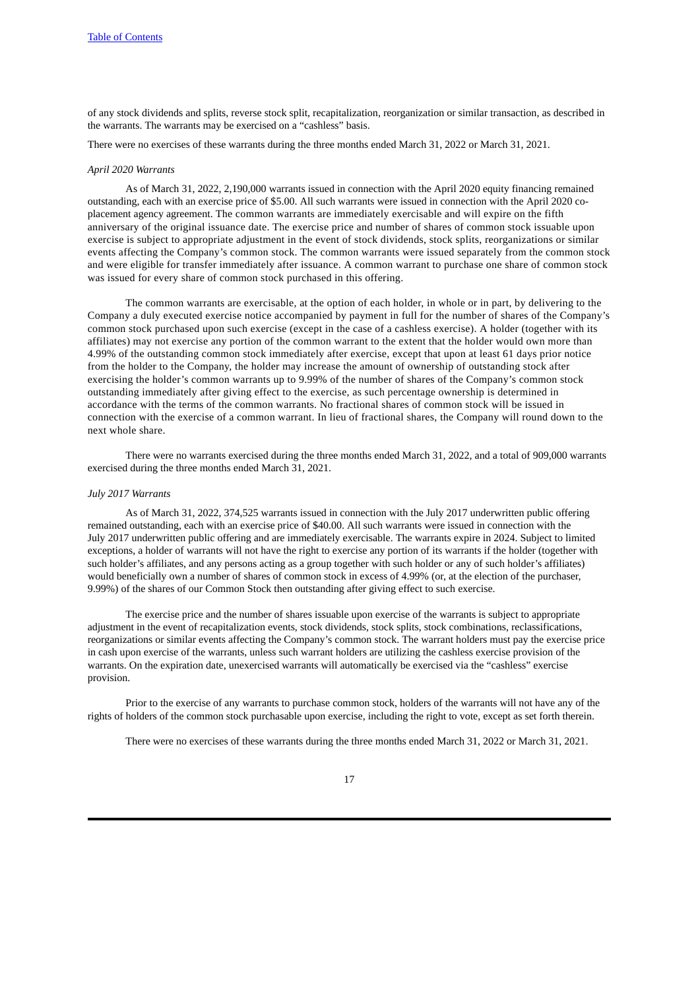of any stock dividends and splits, reverse stock split, recapitalization, reorganization or similar transaction, as described in the warrants. The warrants may be exercised on a "cashless" basis.

There were no exercises of these warrants during the three months ended March 31, 2022 or March 31, 2021.

#### *April 2020 Warrants*

As of March 31, 2022, 2,190,000 warrants issued in connection with the April 2020 equity financing remained outstanding, each with an exercise price of \$5.00. All such warrants were issued in connection with the April 2020 coplacement agency agreement. The common warrants are immediately exercisable and will expire on the fifth anniversary of the original issuance date. The exercise price and number of shares of common stock issuable upon exercise is subject to appropriate adjustment in the event of stock dividends, stock splits, reorganizations or similar events affecting the Company's common stock. The common warrants were issued separately from the common stock and were eligible for transfer immediately after issuance. A common warrant to purchase one share of common stock was issued for every share of common stock purchased in this offering.

The common warrants are exercisable, at the option of each holder, in whole or in part, by delivering to the Company a duly executed exercise notice accompanied by payment in full for the number of shares of the Company's common stock purchased upon such exercise (except in the case of a cashless exercise). A holder (together with its affiliates) may not exercise any portion of the common warrant to the extent that the holder would own more than 4.99% of the outstanding common stock immediately after exercise, except that upon at least 61 days prior notice from the holder to the Company, the holder may increase the amount of ownership of outstanding stock after exercising the holder's common warrants up to 9.99% of the number of shares of the Company's common stock outstanding immediately after giving effect to the exercise, as such percentage ownership is determined in accordance with the terms of the common warrants. No fractional shares of common stock will be issued in connection with the exercise of a common warrant. In lieu of fractional shares, the Company will round down to the next whole share.

There were no warrants exercised during the three months ended March 31, 2022, and a total of 909,000 warrants exercised during the three months ended March 31, 2021.

#### *July 2017 Warrants*

As of March 31, 2022, 374,525 warrants issued in connection with the July 2017 underwritten public offering remained outstanding, each with an exercise price of \$40.00. All such warrants were issued in connection with the July 2017 underwritten public offering and are immediately exercisable. The warrants expire in 2024. Subject to limited exceptions, a holder of warrants will not have the right to exercise any portion of its warrants if the holder (together with such holder's affiliates, and any persons acting as a group together with such holder or any of such holder's affiliates) would beneficially own a number of shares of common stock in excess of 4.99% (or, at the election of the purchaser, 9.99%) of the shares of our Common Stock then outstanding after giving effect to such exercise.

The exercise price and the number of shares issuable upon exercise of the warrants is subject to appropriate adjustment in the event of recapitalization events, stock dividends, stock splits, stock combinations, reclassifications, reorganizations or similar events affecting the Company's common stock. The warrant holders must pay the exercise price in cash upon exercise of the warrants, unless such warrant holders are utilizing the cashless exercise provision of the warrants. On the expiration date, unexercised warrants will automatically be exercised via the "cashless" exercise provision.

Prior to the exercise of any warrants to purchase common stock, holders of the warrants will not have any of the rights of holders of the common stock purchasable upon exercise, including the right to vote, except as set forth therein.

There were no exercises of these warrants during the three months ended March 31, 2022 or March 31, 2021.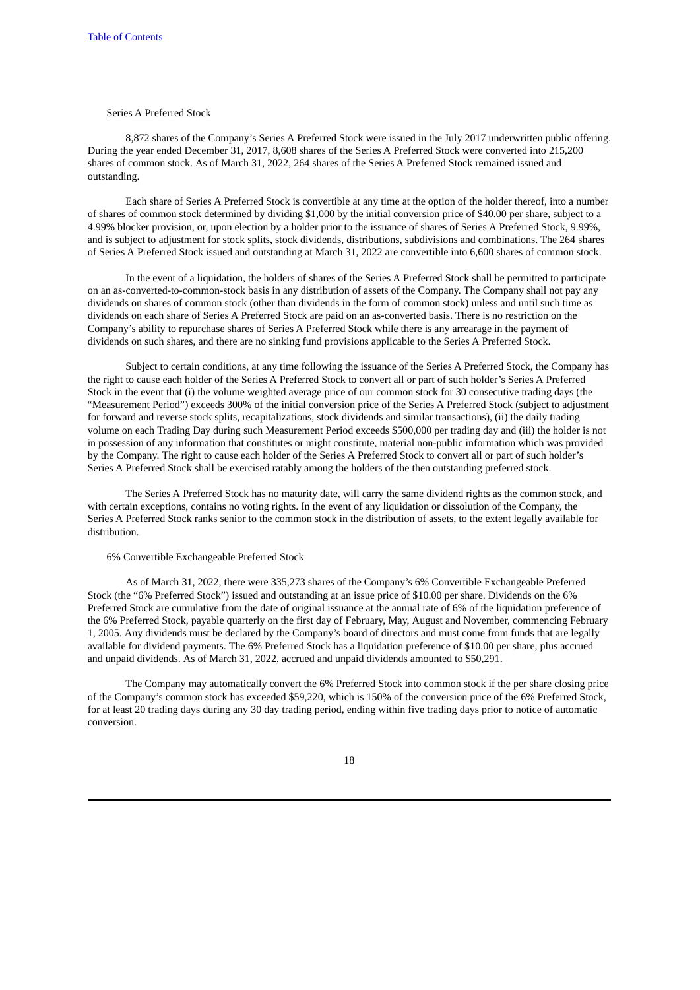### Series A Preferred Stock

8,872 shares of the Company's Series A Preferred Stock were issued in the July 2017 underwritten public offering. During the year ended December 31, 2017, 8,608 shares of the Series A Preferred Stock were converted into 215,200 shares of common stock. As of March 31, 2022, 264 shares of the Series A Preferred Stock remained issued and outstanding.

Each share of Series A Preferred Stock is convertible at any time at the option of the holder thereof, into a number of shares of common stock determined by dividing \$1,000 by the initial conversion price of \$40.00 per share, subject to a 4.99% blocker provision, or, upon election by a holder prior to the issuance of shares of Series A Preferred Stock, 9.99%, and is subject to adjustment for stock splits, stock dividends, distributions, subdivisions and combinations. The 264 shares of Series A Preferred Stock issued and outstanding at March 31, 2022 are convertible into 6,600 shares of common stock.

In the event of a liquidation, the holders of shares of the Series A Preferred Stock shall be permitted to participate on an as-converted-to-common-stock basis in any distribution of assets of the Company. The Company shall not pay any dividends on shares of common stock (other than dividends in the form of common stock) unless and until such time as dividends on each share of Series A Preferred Stock are paid on an as-converted basis. There is no restriction on the Company's ability to repurchase shares of Series A Preferred Stock while there is any arrearage in the payment of dividends on such shares, and there are no sinking fund provisions applicable to the Series A Preferred Stock.

Subject to certain conditions, at any time following the issuance of the Series A Preferred Stock, the Company has the right to cause each holder of the Series A Preferred Stock to convert all or part of such holder's Series A Preferred Stock in the event that (i) the volume weighted average price of our common stock for 30 consecutive trading days (the "Measurement Period") exceeds 300% of the initial conversion price of the Series A Preferred Stock (subject to adjustment for forward and reverse stock splits, recapitalizations, stock dividends and similar transactions), (ii) the daily trading volume on each Trading Day during such Measurement Period exceeds \$500,000 per trading day and (iii) the holder is not in possession of any information that constitutes or might constitute, material non-public information which was provided by the Company. The right to cause each holder of the Series A Preferred Stock to convert all or part of such holder's Series A Preferred Stock shall be exercised ratably among the holders of the then outstanding preferred stock.

The Series A Preferred Stock has no maturity date, will carry the same dividend rights as the common stock, and with certain exceptions, contains no voting rights. In the event of any liquidation or dissolution of the Company, the Series A Preferred Stock ranks senior to the common stock in the distribution of assets, to the extent legally available for distribution.

#### 6% Convertible Exchangeable Preferred Stock

As of March 31, 2022, there were 335,273 shares of the Company's 6% Convertible Exchangeable Preferred Stock (the "6% Preferred Stock") issued and outstanding at an issue price of \$10.00 per share. Dividends on the 6% Preferred Stock are cumulative from the date of original issuance at the annual rate of 6% of the liquidation preference of the 6% Preferred Stock, payable quarterly on the first day of February, May, August and November, commencing February 1, 2005. Any dividends must be declared by the Company's board of directors and must come from funds that are legally available for dividend payments. The 6% Preferred Stock has a liquidation preference of \$10.00 per share, plus accrued and unpaid dividends. As of March 31, 2022, accrued and unpaid dividends amounted to \$50,291.

The Company may automatically convert the 6% Preferred Stock into common stock if the per share closing price of the Company's common stock has exceeded \$59,220, which is 150% of the conversion price of the 6% Preferred Stock, for at least 20 trading days during any 30 day trading period, ending within five trading days prior to notice of automatic conversion.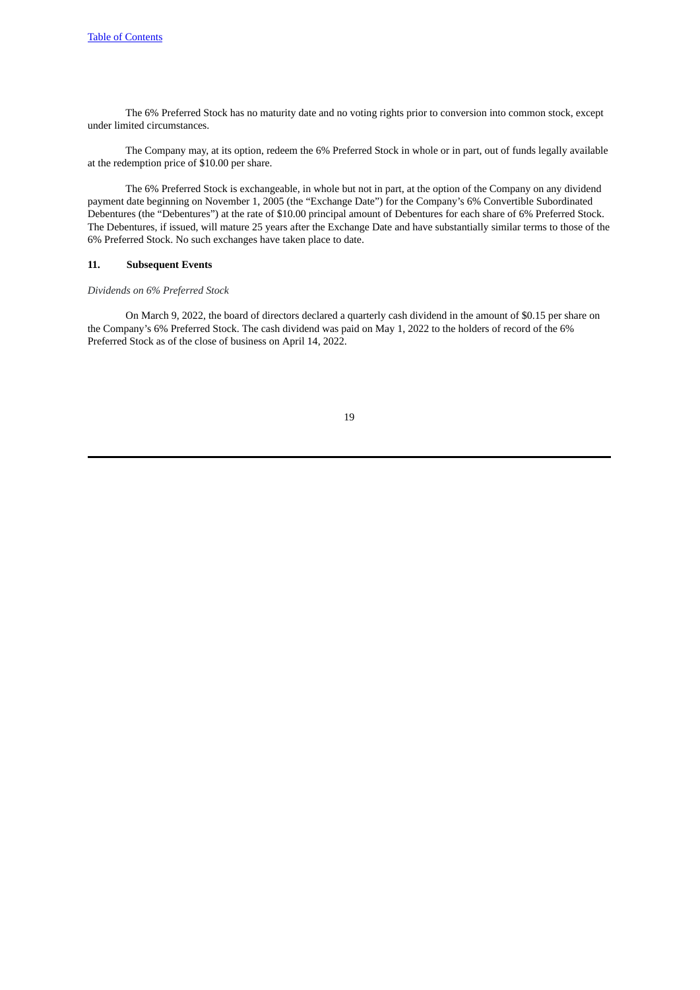The 6% Preferred Stock has no maturity date and no voting rights prior to conversion into common stock, except under limited circumstances.

The Company may, at its option, redeem the 6% Preferred Stock in whole or in part, out of funds legally available at the redemption price of \$10.00 per share.

The 6% Preferred Stock is exchangeable, in whole but not in part, at the option of the Company on any dividend payment date beginning on November 1, 2005 (the "Exchange Date") for the Company's 6% Convertible Subordinated Debentures (the "Debentures") at the rate of \$10.00 principal amount of Debentures for each share of 6% Preferred Stock. The Debentures, if issued, will mature 25 years after the Exchange Date and have substantially similar terms to those of the 6% Preferred Stock. No such exchanges have taken place to date.

#### **11. Subsequent Events**

#### *Dividends on 6% Preferred Stock*

On March 9, 2022, the board of directors declared a quarterly cash dividend in the amount of \$0.15 per share on the Company's 6% Preferred Stock. The cash dividend was paid on May 1, 2022 to the holders of record of the 6% Preferred Stock as of the close of business on April 14, 2022.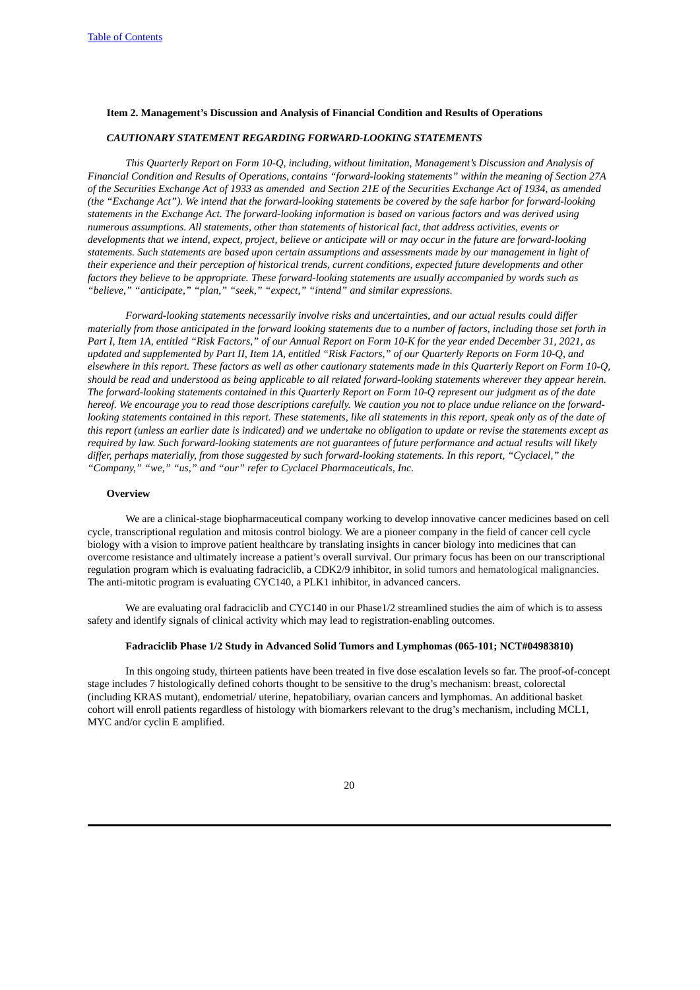### <span id="page-19-0"></span>**Item 2. Management's Discussion and Analysis of Financial Condition and Results of Operations**

### *CAUTIONARY STATEMENT REGARDING FORWARD-LOOKING STATEMENTS*

*This Quarterly Report on Form 10-Q, including, without limitation, Management's Discussion and Analysis of Financial Condition and Results of Operations, contains "forward-looking statements" within the meaning of Section 27A* of the Securities Exchange Act of 1933 as amended and Section 21E of the Securities Exchange Act of 1934, as amended (the "Exchange Act"). We intend that the forward-looking statements be covered by the safe harbor for forward-looking statements in the Exchange Act. The forward-looking information is based on various factors and was derived using *numerous assumptions. All statements, other than statements of historical fact, that address activities, events or* developments that we intend, expect, project, believe or anticipate will or may occur in the future are forward-looking statements. Such statements are based upon certain assumptions and assessments made by our management in light of *their experience and their perception of historical trends, current conditions, expected future developments and other* factors they believe to be appropriate. These forward-looking statements are usually accompanied by words such as *"believe," "anticipate," "plan," "seek," "expect," "intend" and similar expressions.*

*Forward-looking statements necessarily involve risks and uncertainties, and our actual results could differ* materially from those anticipated in the forward looking statements due to a number of factors, including those set forth in Part I, Item 1A, entitled "Risk Factors," of our Annual Report on Form 10-K for the year ended December 31, 2021, as updated and supplemented by Part II, Item 1A, entitled "Risk Factors," of our Quarterly Reports on Form 10-Q, and elsewhere in this report. These factors as well as other cautionary statements made in this Quarterly Report on Form 10-Q, should be read and understood as being applicable to all related forward-looking statements wherever they appear herein. The forward-looking statements contained in this Quarterly Report on Form 10-Q represent our judgment as of the date hereof. We encourage you to read those descriptions carefully. We caution you not to place undue reliance on the forwardlooking statements contained in this report. These statements, like all statements in this report, speak only as of the date of this report (unless an earlier date is indicated) and we undertake no obligation to update or revise the statements except as required by law. Such forward-looking statements are not quarantees of future performance and actual results will likely *differ, perhaps materially, from those suggested by such forward-looking statements. In this report, "Cyclacel," the "Company," "we," "us," and "our" refer to Cyclacel Pharmaceuticals, Inc.*

#### **Overview**

We are a clinical-stage biopharmaceutical company working to develop innovative cancer medicines based on cell cycle, transcriptional regulation and mitosis control biology. We are a pioneer company in the field of cancer cell cycle biology with a vision to improve patient healthcare by translating insights in cancer biology into medicines that can overcome resistance and ultimately increase a patient's overall survival. Our primary focus has been on our transcriptional regulation program which is evaluating fadraciclib, a CDK2/9 inhibitor, in solid tumors and hematological malignancies. The anti-mitotic program is evaluating CYC140, a PLK1 inhibitor, in advanced cancers.

We are evaluating oral fadraciclib and CYC140 in our Phase1/2 streamlined studies the aim of which is to assess safety and identify signals of clinical activity which may lead to registration-enabling outcomes.

#### **Fadraciclib Phase 1/2 Study in Advanced Solid Tumors and Lymphomas (065-101; NCT#04983810)**

In this ongoing study, thirteen patients have been treated in five dose escalation levels so far. The proof-of-concept stage includes 7 histologically defined cohorts thought to be sensitive to the drug's mechanism: breast, colorectal (including KRAS mutant), endometrial/ uterine, hepatobiliary, ovarian cancers and lymphomas. An additional basket cohort will enroll patients regardless of histology with biomarkers relevant to the drug's mechanism, including MCL1, MYC and/or cyclin E amplified.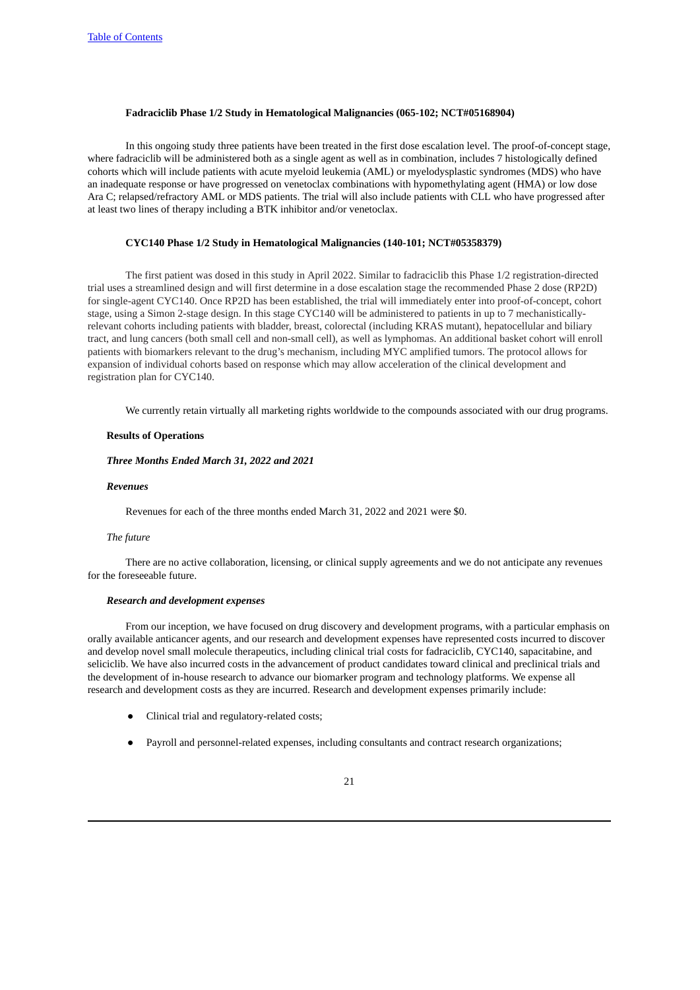### **Fadraciclib Phase 1/2 Study in Hematological Malignancies (065-102; NCT#05168904)**

In this ongoing study three patients have been treated in the first dose escalation level. The proof-of-concept stage, where fadraciclib will be administered both as a single agent as well as in combination, includes 7 histologically defined cohorts which will include patients with acute myeloid leukemia (AML) or myelodysplastic syndromes (MDS) who have an inadequate response or have progressed on venetoclax combinations with hypomethylating agent (HMA) or low dose Ara C; relapsed/refractory AML or MDS patients. The trial will also include patients with CLL who have progressed after at least two lines of therapy including a BTK inhibitor and/or venetoclax.

### **CYC140 Phase 1/2 Study in Hematological Malignancies (140-101; NCT#05358379)**

The first patient was dosed in this study in April 2022. Similar to fadraciclib this Phase 1/2 registration-directed trial uses a streamlined design and will first determine in a dose escalation stage the recommended Phase 2 dose (RP2D) for single-agent CYC140. Once RP2D has been established, the trial will immediately enter into proof-of-concept, cohort stage, using a Simon 2-stage design. In this stage CYC140 will be administered to patients in up to 7 mechanisticallyrelevant cohorts including patients with bladder, breast, colorectal (including KRAS mutant), hepatocellular and biliary tract, and lung cancers (both small cell and non-small cell), as well as lymphomas. An additional basket cohort will enroll patients with biomarkers relevant to the drug's mechanism, including MYC amplified tumors. The protocol allows for expansion of individual cohorts based on response which may allow acceleration of the clinical development and registration plan for CYC140.

We currently retain virtually all marketing rights worldwide to the compounds associated with our drug programs.

### **Results of Operations**

### *Three Months Ended March 31, 2022 and 2021*

#### *Revenues*

Revenues for each of the three months ended March 31, 2022 and 2021 were \$0.

#### *The future*

There are no active collaboration, licensing, or clinical supply agreements and we do not anticipate any revenues for the foreseeable future.

### *Research and development expenses*

From our inception, we have focused on drug discovery and development programs, with a particular emphasis on orally available anticancer agents, and our research and development expenses have represented costs incurred to discover and develop novel small molecule therapeutics, including clinical trial costs for fadraciclib, CYC140, sapacitabine, and seliciclib. We have also incurred costs in the advancement of product candidates toward clinical and preclinical trials and the development of in-house research to advance our biomarker program and technology platforms. We expense all research and development costs as they are incurred. Research and development expenses primarily include:

- Clinical trial and regulatory-related costs;
- Payroll and personnel-related expenses, including consultants and contract research organizations;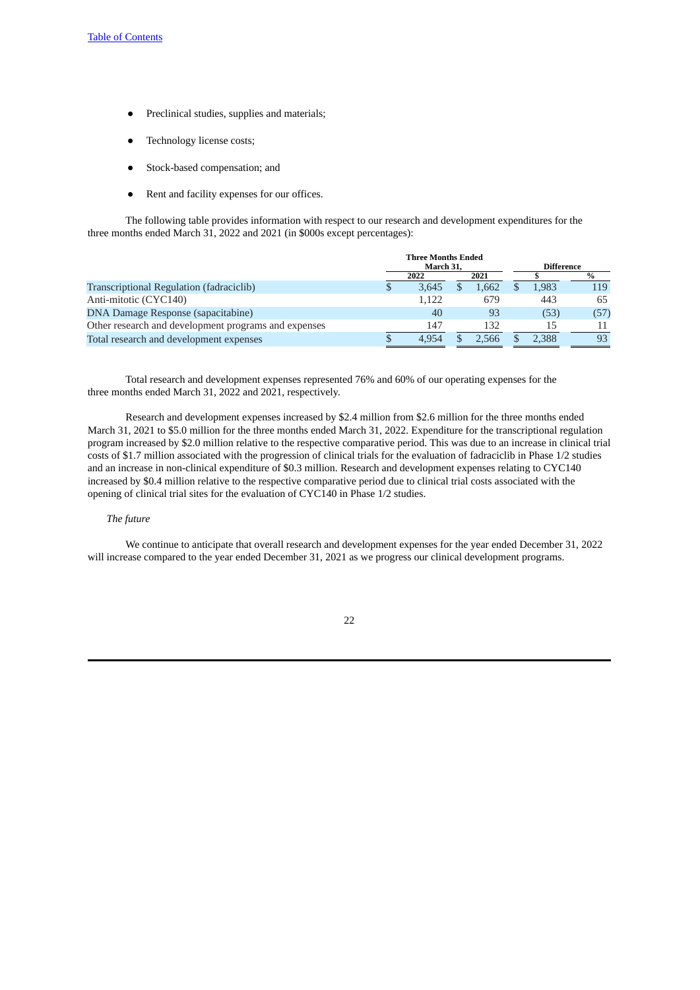- Preclinical studies, supplies and materials;
- Technology license costs;
- Stock-based compensation; and
- Rent and facility expenses for our offices.

The following table provides information with respect to our research and development expenditures for the three months ended March 31, 2022 and 2021 (in \$000s except percentages):

|                                                      | <b>Three Months Ended</b><br>March 31. |       | Difference |      |
|------------------------------------------------------|----------------------------------------|-------|------------|------|
|                                                      | 2022                                   | 2021  |            | $\%$ |
| Transcriptional Regulation (fadraciclib)             | 3.645                                  | 1.662 | 1,983      | 119  |
| Anti-mitotic (CYC140)                                | 1,122                                  | 679   | 443        | 65   |
| DNA Damage Response (sapacitabine)                   | 40                                     | 93    | (53)       | (57) |
| Other research and development programs and expenses | 147                                    | 132   | 15         |      |
| Total research and development expenses              | 4.954                                  | 2.566 | 2.388      | 93   |

Total research and development expenses represented 76% and 60% of our operating expenses for the three months ended March 31, 2022 and 2021, respectively.

Research and development expenses increased by \$2.4 million from \$2.6 million for the three months ended March 31, 2021 to \$5.0 million for the three months ended March 31, 2022. Expenditure for the transcriptional regulation program increased by \$2.0 million relative to the respective comparative period. This was due to an increase in clinical trial costs of \$1.7 million associated with the progression of clinical trials for the evaluation of fadraciclib in Phase 1/2 studies and an increase in non-clinical expenditure of \$0.3 million. Research and development expenses relating to CYC140 increased by \$0.4 million relative to the respective comparative period due to clinical trial costs associated with the opening of clinical trial sites for the evaluation of CYC140 in Phase 1/2 studies.

### *The future*

We continue to anticipate that overall research and development expenses for the year ended December 31, 2022 will increase compared to the year ended December 31, 2021 as we progress our clinical development programs.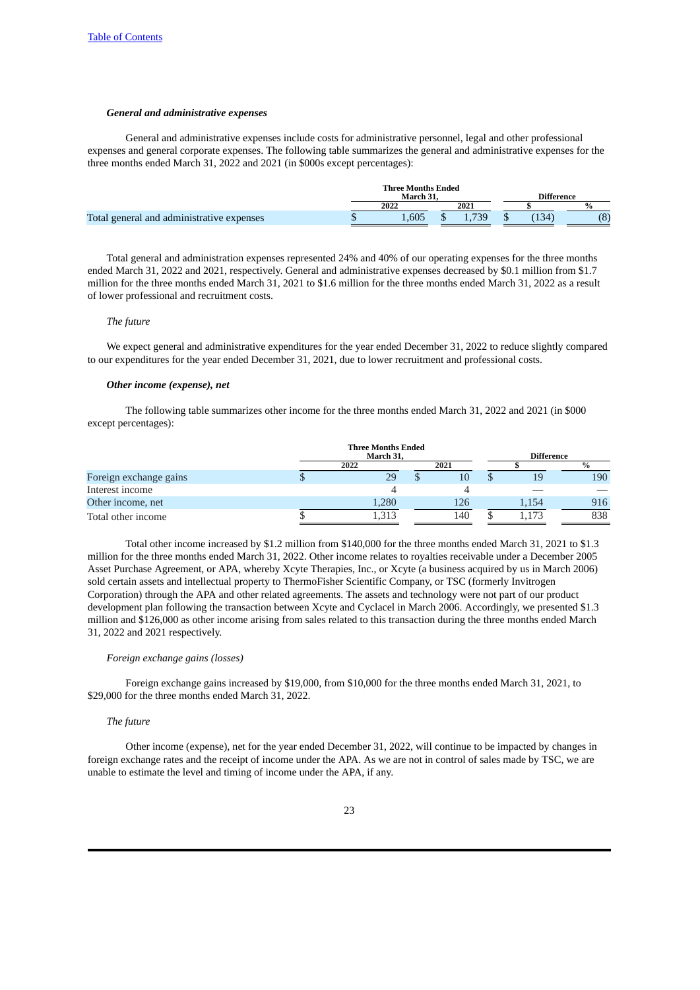### *General and administrative expenses*

General and administrative expenses include costs for administrative personnel, legal and other professional expenses and general corporate expenses. The following table summarizes the general and administrative expenses for the three months ended March 31, 2022 and 2021 (in \$000s except percentages):

|                                           | <b>Three Months Ended</b><br>March 31. |      | <b>Difference</b> |               |
|-------------------------------------------|----------------------------------------|------|-------------------|---------------|
|                                           | 2022                                   | 2021 |                   | $\frac{0}{0}$ |
| Total general and administrative expenses | 605                                    | 730  |                   | (8)           |

Total general and administration expenses represented 24% and 40% of our operating expenses for the three months ended March 31, 2022 and 2021, respectively. General and administrative expenses decreased by \$0.1 million from \$1.7 million for the three months ended March 31, 2021 to \$1.6 million for the three months ended March 31, 2022 as a result of lower professional and recruitment costs.

#### *The future*

We expect general and administrative expenditures for the year ended December 31, 2022 to reduce slightly compared to our expenditures for the year ended December 31, 2021, due to lower recruitment and professional costs.

#### *Other income (expense), net*

The following table summarizes other income for the three months ended March 31, 2022 and 2021 (in \$000 except percentages):

|                        | <b>Three Months Ended</b><br>March 31, |      | <b>Difference</b> |               |
|------------------------|----------------------------------------|------|-------------------|---------------|
|                        | 2022                                   | 2021 |                   | $\frac{0}{0}$ |
| Foreign exchange gains | 29                                     | 10   | 19                | 190           |
| Interest income        |                                        |      |                   |               |
| Other income, net      | 1,280                                  | 126  | 1,154             | 916           |
| Total other income     | 1,313                                  | 140  |                   | 838           |

Total other income increased by \$1.2 million from \$140,000 for the three months ended March 31, 2021 to \$1.3 million for the three months ended March 31, 2022. Other income relates to royalties receivable under a December 2005 Asset Purchase Agreement, or APA, whereby Xcyte Therapies, Inc., or Xcyte (a business acquired by us in March 2006) sold certain assets and intellectual property to ThermoFisher Scientific Company, or TSC (formerly Invitrogen Corporation) through the APA and other related agreements. The assets and technology were not part of our product development plan following the transaction between Xcyte and Cyclacel in March 2006. Accordingly, we presented \$1.3 million and \$126,000 as other income arising from sales related to this transaction during the three months ended March 31, 2022 and 2021 respectively.

#### *Foreign exchange gains (losses)*

Foreign exchange gains increased by \$19,000, from \$10,000 for the three months ended March 31, 2021, to \$29,000 for the three months ended March 31, 2022.

#### *The future*

Other income (expense), net for the year ended December 31, 2022, will continue to be impacted by changes in foreign exchange rates and the receipt of income under the APA. As we are not in control of sales made by TSC, we are unable to estimate the level and timing of income under the APA, if any.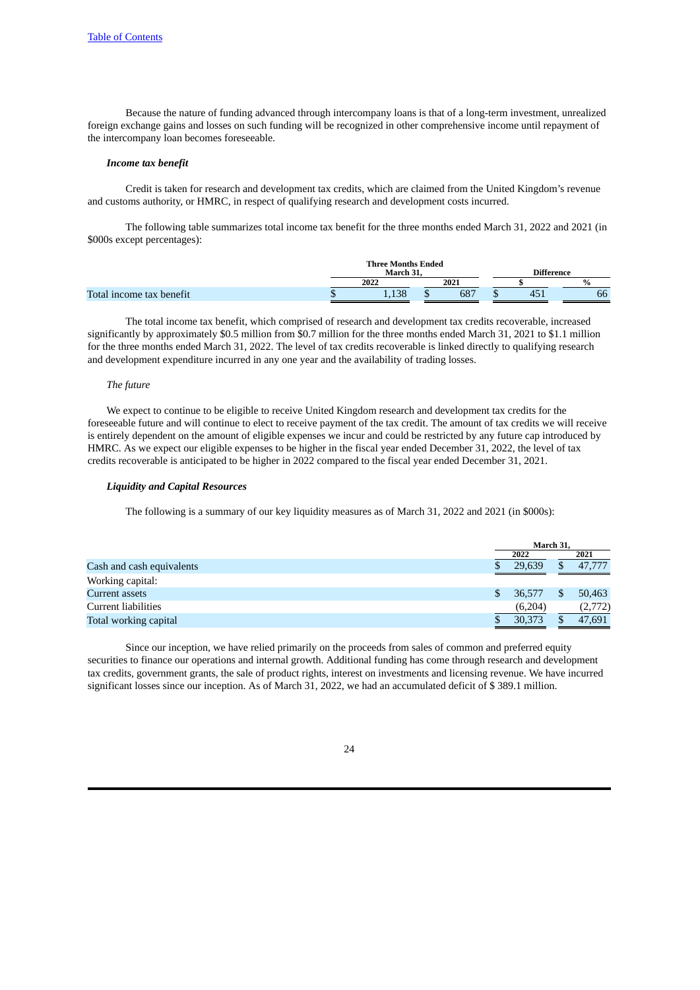Because the nature of funding advanced through intercompany loans is that of a long-term investment, unrealized foreign exchange gains and losses on such funding will be recognized in other comprehensive income until repayment of the intercompany loan becomes foreseeable.

#### *Income tax benefit*

Credit is taken for research and development tax credits, which are claimed from the United Kingdom's revenue and customs authority, or HMRC, in respect of qualifying research and development costs incurred.

The following table summarizes total income tax benefit for the three months ended March 31, 2022 and 2021 (in \$000s except percentages):

|                          | <b>Three Months Ended</b><br>March 31 |      |    | <b>Difference</b> |    |
|--------------------------|---------------------------------------|------|----|-------------------|----|
|                          | 2022                                  | 2021 |    |                   |    |
| Total income tax benefit | 1.138                                 | 687  | ۰D |                   | 66 |

The total income tax benefit, which comprised of research and development tax credits recoverable, increased significantly by approximately \$0.5 million from \$0.7 million for the three months ended March 31, 2021 to \$1.1 million for the three months ended March 31, 2022. The level of tax credits recoverable is linked directly to qualifying research and development expenditure incurred in any one year and the availability of trading losses.

#### *The future*

We expect to continue to be eligible to receive United Kingdom research and development tax credits for the foreseeable future and will continue to elect to receive payment of the tax credit. The amount of tax credits we will receive is entirely dependent on the amount of eligible expenses we incur and could be restricted by any future cap introduced by HMRC. As we expect our eligible expenses to be higher in the fiscal year ended December 31, 2022, the level of tax credits recoverable is anticipated to be higher in 2022 compared to the fiscal year ended December 31, 2021.

### *Liquidity and Capital Resources*

The following is a summary of our key liquidity measures as of March 31, 2022 and 2021 (in \$000s):

|                           | March 31,    |  |         |  |
|---------------------------|--------------|--|---------|--|
|                           | 2022         |  | 2021    |  |
| Cash and cash equivalents | 29.639       |  | 47,777  |  |
| Working capital:          |              |  |         |  |
| Current assets            | \$<br>36,577 |  | 50,463  |  |
| Current liabilities       | (6,204)      |  | (2,772) |  |
| Total working capital     | 30,373       |  | 47,691  |  |

Since our inception, we have relied primarily on the proceeds from sales of common and preferred equity securities to finance our operations and internal growth. Additional funding has come through research and development tax credits, government grants, the sale of product rights, interest on investments and licensing revenue. We have incurred significant losses since our inception. As of March 31, 2022, we had an accumulated deficit of \$ 389.1 million.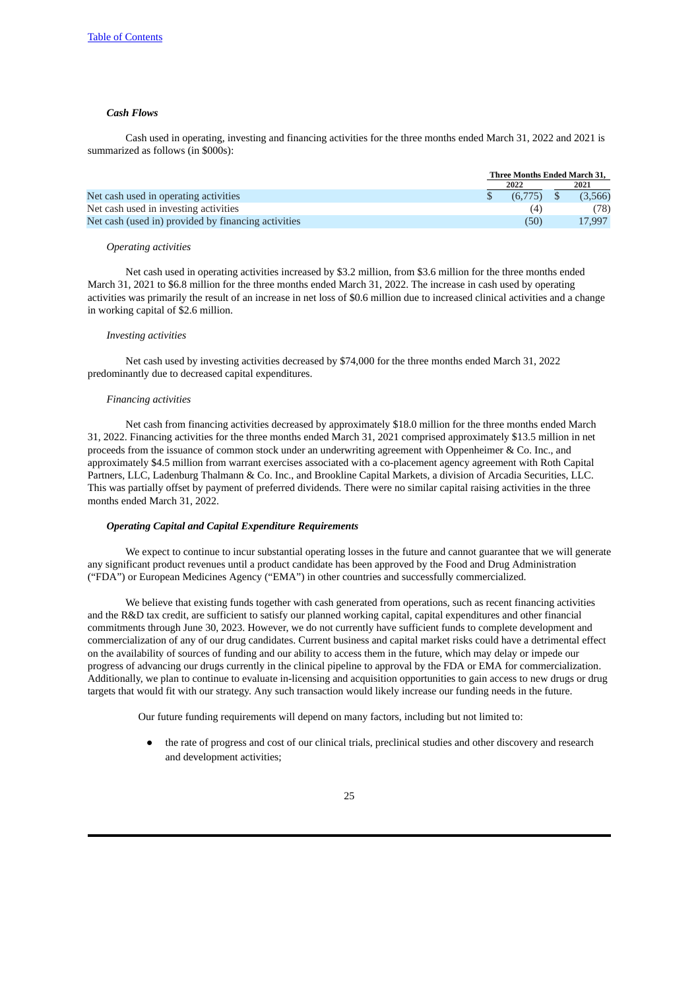# *Cash Flows*

Cash used in operating, investing and financing activities for the three months ended March 31, 2022 and 2021 is summarized as follows (in \$000s):

|                                                     | Three Months Ended March 31, |         |
|-----------------------------------------------------|------------------------------|---------|
|                                                     | 2022                         | 2021    |
| Net cash used in operating activities               | (6.775)                      | (3.566) |
| Net cash used in investing activities               | (4)                          | (78)    |
| Net cash (used in) provided by financing activities | (50)                         | 17.997  |

#### *Operating activities*

Net cash used in operating activities increased by \$3.2 million, from \$3.6 million for the three months ended March 31, 2021 to \$6.8 million for the three months ended March 31, 2022. The increase in cash used by operating activities was primarily the result of an increase in net loss of \$0.6 million due to increased clinical activities and a change in working capital of \$2.6 million.

#### *Investing activities*

Net cash used by investing activities decreased by \$74,000 for the three months ended March 31, 2022 predominantly due to decreased capital expenditures.

#### *Financing activities*

Net cash from financing activities decreased by approximately \$18.0 million for the three months ended March 31, 2022. Financing activities for the three months ended March 31, 2021 comprised approximately \$13.5 million in net proceeds from the issuance of common stock under an underwriting agreement with Oppenheimer & Co. Inc., and approximately \$4.5 million from warrant exercises associated with a co-placement agency agreement with Roth Capital Partners, LLC, Ladenburg Thalmann & Co. Inc., and Brookline Capital Markets, a division of Arcadia Securities, LLC. This was partially offset by payment of preferred dividends. There were no similar capital raising activities in the three months ended March 31, 2022.

#### *Operating Capital and Capital Expenditure Requirements*

We expect to continue to incur substantial operating losses in the future and cannot guarantee that we will generate any significant product revenues until a product candidate has been approved by the Food and Drug Administration ("FDA") or European Medicines Agency ("EMA") in other countries and successfully commercialized.

We believe that existing funds together with cash generated from operations, such as recent financing activities and the R&D tax credit, are sufficient to satisfy our planned working capital, capital expenditures and other financial commitments through June 30, 2023. However, we do not currently have sufficient funds to complete development and commercialization of any of our drug candidates. Current business and capital market risks could have a detrimental effect on the availability of sources of funding and our ability to access them in the future, which may delay or impede our progress of advancing our drugs currently in the clinical pipeline to approval by the FDA or EMA for commercialization. Additionally, we plan to continue to evaluate in-licensing and acquisition opportunities to gain access to new drugs or drug targets that would fit with our strategy. Any such transaction would likely increase our funding needs in the future.

Our future funding requirements will depend on many factors, including but not limited to:

the rate of progress and cost of our clinical trials, preclinical studies and other discovery and research and development activities;

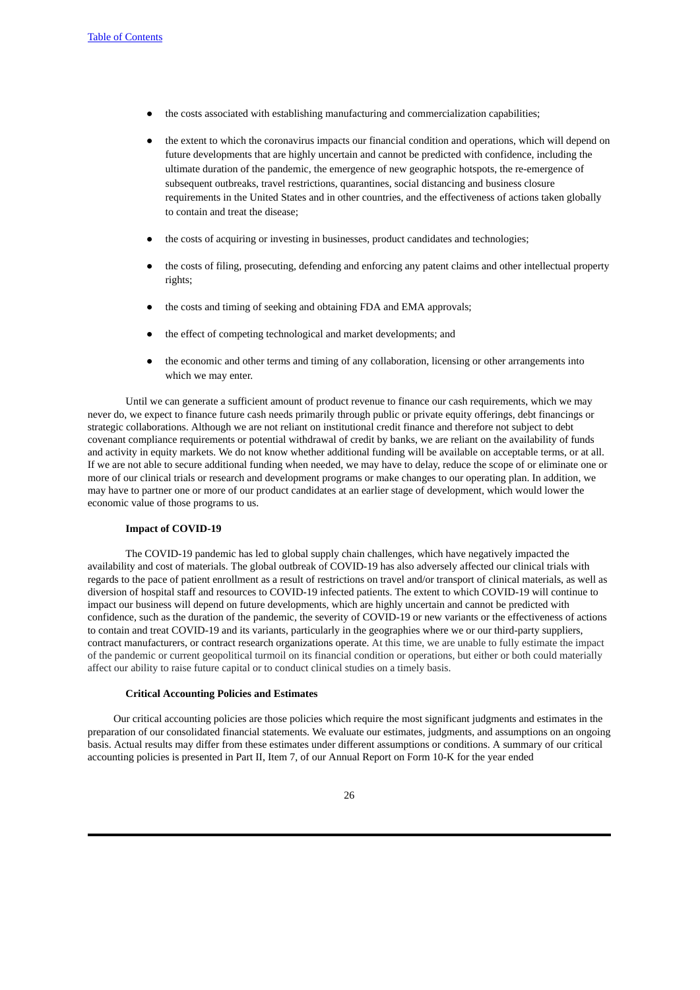- the costs associated with establishing manufacturing and commercialization capabilities;
- the extent to which the coronavirus impacts our financial condition and operations, which will depend on future developments that are highly uncertain and cannot be predicted with confidence, including the ultimate duration of the pandemic, the emergence of new geographic hotspots, the re-emergence of subsequent outbreaks, travel restrictions, quarantines, social distancing and business closure requirements in the United States and in other countries, and the effectiveness of actions taken globally to contain and treat the disease;
- the costs of acquiring or investing in businesses, product candidates and technologies;
- the costs of filing, prosecuting, defending and enforcing any patent claims and other intellectual property rights;
- the costs and timing of seeking and obtaining FDA and EMA approvals;
- the effect of competing technological and market developments; and
- the economic and other terms and timing of any collaboration, licensing or other arrangements into which we may enter.

Until we can generate a sufficient amount of product revenue to finance our cash requirements, which we may never do, we expect to finance future cash needs primarily through public or private equity offerings, debt financings or strategic collaborations. Although we are not reliant on institutional credit finance and therefore not subject to debt covenant compliance requirements or potential withdrawal of credit by banks, we are reliant on the availability of funds and activity in equity markets. We do not know whether additional funding will be available on acceptable terms, or at all. If we are not able to secure additional funding when needed, we may have to delay, reduce the scope of or eliminate one or more of our clinical trials or research and development programs or make changes to our operating plan. In addition, we may have to partner one or more of our product candidates at an earlier stage of development, which would lower the economic value of those programs to us.

### **Impact of COVID-19**

The COVID-19 pandemic has led to global supply chain challenges, which have negatively impacted the availability and cost of materials. The global outbreak of COVID-19 has also adversely affected our clinical trials with regards to the pace of patient enrollment as a result of restrictions on travel and/or transport of clinical materials, as well as diversion of hospital staff and resources to COVID-19 infected patients. The extent to which COVID-19 will continue to impact our business will depend on future developments, which are highly uncertain and cannot be predicted with confidence, such as the duration of the pandemic, the severity of COVID-19 or new variants or the effectiveness of actions to contain and treat COVID-19 and its variants, particularly in the geographies where we or our third-party suppliers, contract manufacturers, or contract research organizations operate. At this time, we are unable to fully estimate the impact of the pandemic or current geopolitical turmoil on its financial condition or operations, but either or both could materially affect our ability to raise future capital or to conduct clinical studies on a timely basis.

### **Critical Accounting Policies and Estimates**

Our critical accounting policies are those policies which require the most significant judgments and estimates in the preparation of our consolidated financial statements. We evaluate our estimates, judgments, and assumptions on an ongoing basis. Actual results may differ from these estimates under different assumptions or conditions. A summary of our critical accounting policies is presented in Part II, Item 7, of our Annual Report on Form 10-K for the year ended

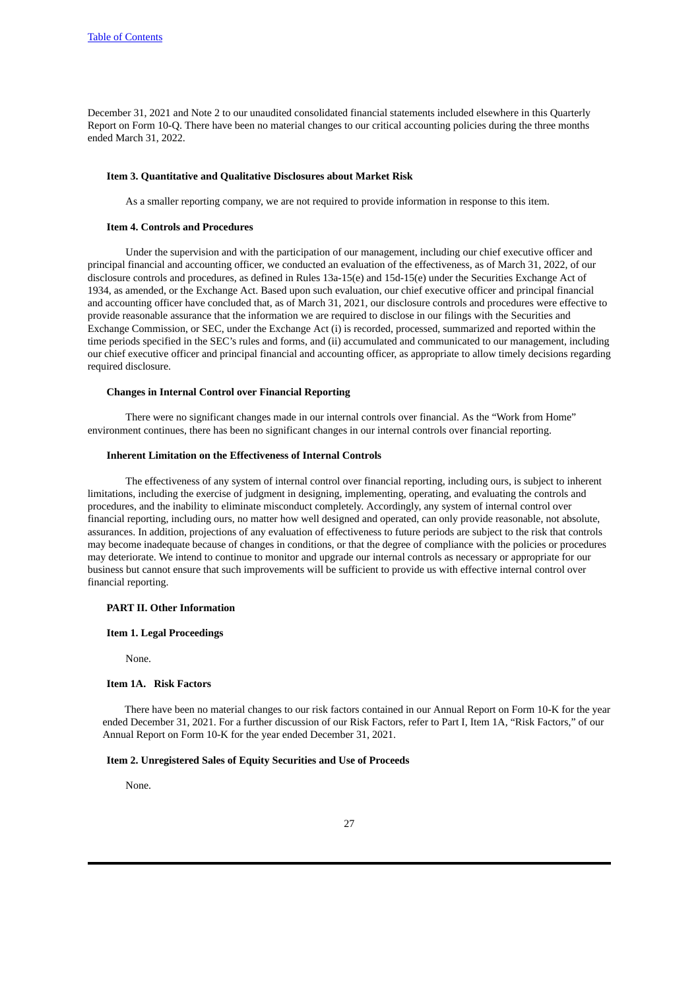December 31, 2021 and Note 2 to our unaudited consolidated financial statements included elsewhere in this Quarterly Report on Form 10-Q. There have been no material changes to our critical accounting policies during the three months ended March 31, 2022.

#### <span id="page-26-0"></span>**Item 3. Quantitative and Qualitative Disclosures about Market Risk**

As a smaller reporting company, we are not required to provide information in response to this item.

#### <span id="page-26-1"></span>**Item 4. Controls and Procedures**

Under the supervision and with the participation of our management, including our chief executive officer and principal financial and accounting officer, we conducted an evaluation of the effectiveness, as of March 31, 2022, of our disclosure controls and procedures, as defined in Rules 13a-15(e) and 15d-15(e) under the Securities Exchange Act of 1934, as amended, or the Exchange Act. Based upon such evaluation, our chief executive officer and principal financial and accounting officer have concluded that, as of March 31, 2021, our disclosure controls and procedures were effective to provide reasonable assurance that the information we are required to disclose in our filings with the Securities and Exchange Commission, or SEC, under the Exchange Act (i) is recorded, processed, summarized and reported within the time periods specified in the SEC's rules and forms, and (ii) accumulated and communicated to our management, including our chief executive officer and principal financial and accounting officer, as appropriate to allow timely decisions regarding required disclosure.

### **Changes in Internal Control over Financial Reporting**

There were no significant changes made in our internal controls over financial. As the "Work from Home" environment continues, there has been no significant changes in our internal controls over financial reporting.

### **Inherent Limitation on the Effectiveness of Internal Controls**

The effectiveness of any system of internal control over financial reporting, including ours, is subject to inherent limitations, including the exercise of judgment in designing, implementing, operating, and evaluating the controls and procedures, and the inability to eliminate misconduct completely. Accordingly, any system of internal control over financial reporting, including ours, no matter how well designed and operated, can only provide reasonable, not absolute, assurances. In addition, projections of any evaluation of effectiveness to future periods are subject to the risk that controls may become inadequate because of changes in conditions, or that the degree of compliance with the policies or procedures may deteriorate. We intend to continue to monitor and upgrade our internal controls as necessary or appropriate for our business but cannot ensure that such improvements will be sufficient to provide us with effective internal control over financial reporting.

### <span id="page-26-2"></span>**PART II. Other Information**

#### <span id="page-26-3"></span>**Item 1. Legal Proceedings**

None.

### <span id="page-26-4"></span>**Item 1A. Risk Factors**

There have been no material changes to our risk factors contained in our Annual Report on Form 10-K for the year ended December 31, 2021. For a further discussion of our Risk Factors, refer to Part I, Item 1A, "Risk Factors," of our Annual Report on Form 10-K for the year ended December 31, 2021.

#### <span id="page-26-5"></span>**Item 2. Unregistered Sales of Equity Securities and Use of Proceeds**

None.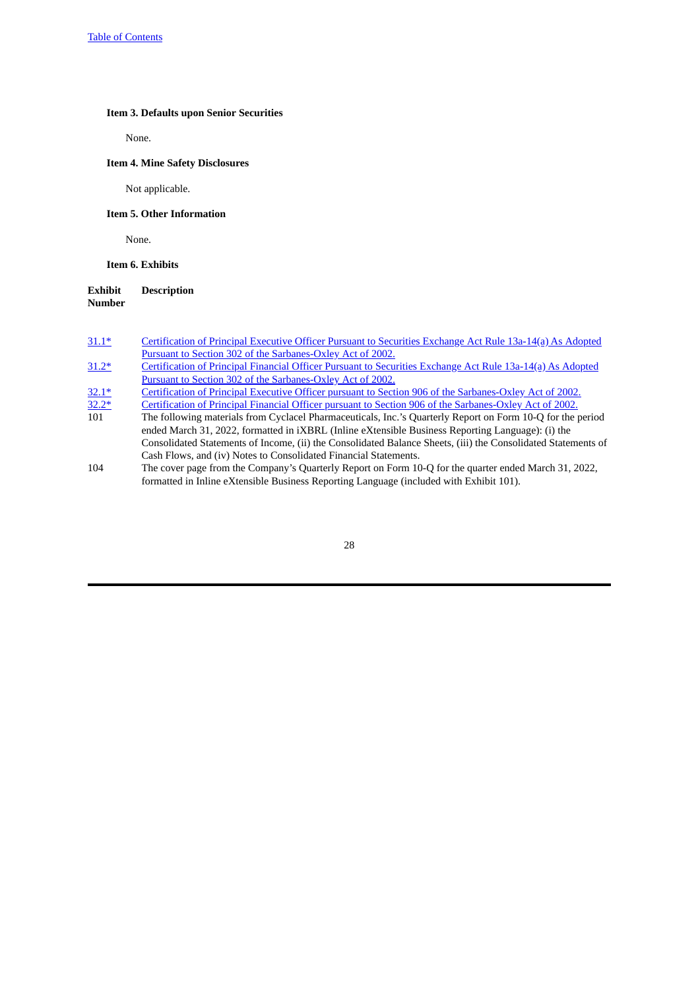# <span id="page-27-0"></span>**Item 3. Defaults upon Senior Securities**

None.

# <span id="page-27-1"></span>**Item 4. Mine Safety Disclosures**

Not applicable.

# <span id="page-27-2"></span>**Item 5. Other Information**

None.

# <span id="page-27-3"></span>**Item 6. Exhibits**

#### **Exhibit Number Description**

| $31.1*$ | Certification of Principal Executive Officer Pursuant to Securities Exchange Act Rule 13a-14(a) As Adopted |
|---------|------------------------------------------------------------------------------------------------------------|
|         | Pursuant to Section 302 of the Sarbanes-Oxley Act of 2002.                                                 |
| $31.2*$ | Certification of Principal Financial Officer Pursuant to Securities Exchange Act Rule 13a-14(a) As Adopted |
|         | Pursuant to Section 302 of the Sarbanes-Oxley Act of 2002.                                                 |
| $32.1*$ | Certification of Principal Executive Officer pursuant to Section 906 of the Sarbanes-Oxley Act of 2002.    |
| $32.2*$ | Certification of Principal Financial Officer pursuant to Section 906 of the Sarbanes-Oxley Act of 2002.    |
| 101     | The following materials from Cyclacel Pharmaceuticals, Inc.'s Quarterly Report on Form 10-Q for the period |
|         | ended March 31, 2022, formatted in iXBRL (Inline eXtensible Business Reporting Language): (i) the          |

Consolidated Statements of Income, (ii) the Consolidated Balance Sheets, (iii) the Consolidated Statements of Cash Flows, and (iv) Notes to Consolidated Financial Statements.

104 The cover page from the Company's Quarterly Report on Form 10-Q for the quarter ended March 31, 2022, formatted in Inline eXtensible Business Reporting Language (included with Exhibit 101).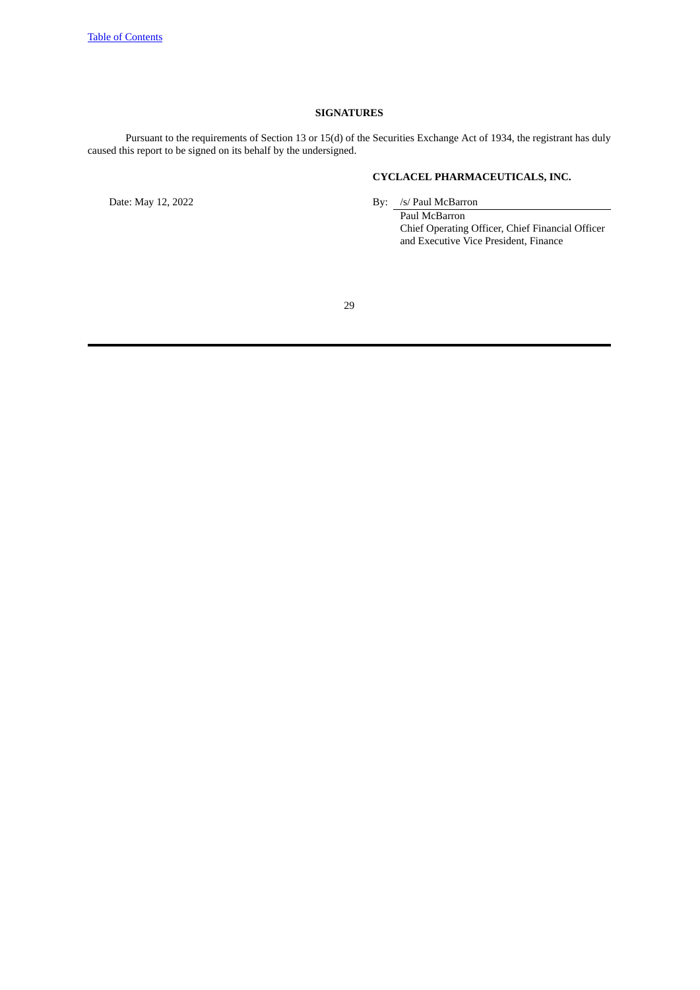# **SIGNATURES**

<span id="page-28-0"></span>Pursuant to the requirements of Section 13 or 15(d) of the Securities Exchange Act of 1934, the registrant has duly caused this report to be signed on its behalf by the undersigned.

# **CYCLACEL PHARMACEUTICALS, INC.**

Date: May 12, 2022 By: /s/ Paul McBarron

Paul McBarron Chief Operating Officer, Chief Financial Officer and Executive Vice President, Finance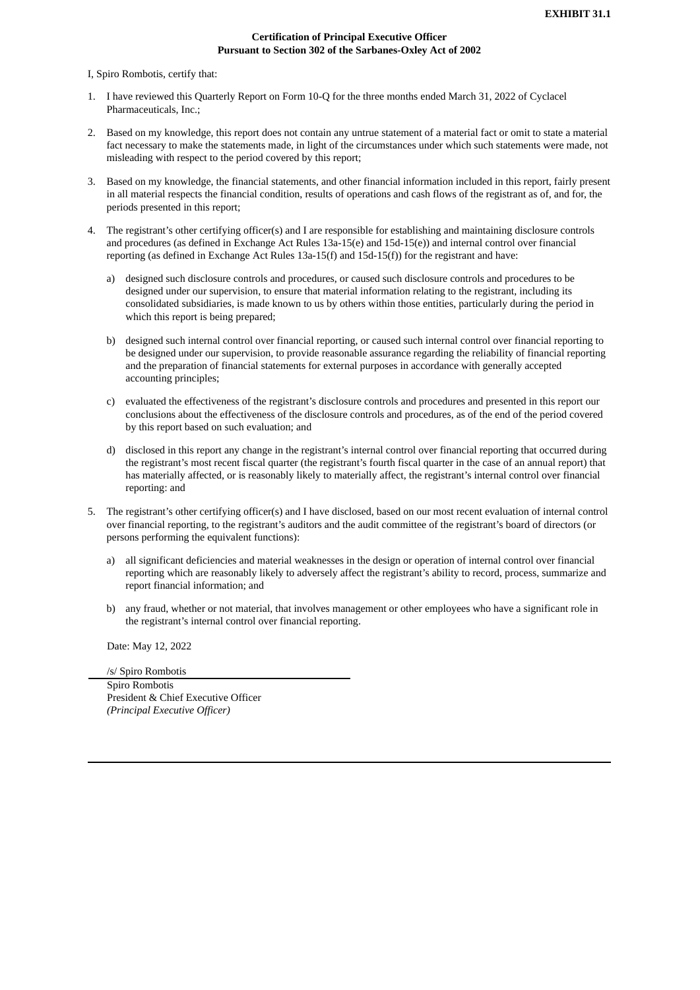## **Certification of Principal Executive Officer Pursuant to Section 302 of the Sarbanes-Oxley Act of 2002**

<span id="page-29-0"></span>I, Spiro Rombotis, certify that:

- 1. I have reviewed this Quarterly Report on Form 10-Q for the three months ended March 31, 2022 of Cyclacel Pharmaceuticals, Inc.;
- 2. Based on my knowledge, this report does not contain any untrue statement of a material fact or omit to state a material fact necessary to make the statements made, in light of the circumstances under which such statements were made, not misleading with respect to the period covered by this report;
- 3. Based on my knowledge, the financial statements, and other financial information included in this report, fairly present in all material respects the financial condition, results of operations and cash flows of the registrant as of, and for, the periods presented in this report;
- 4. The registrant's other certifying officer(s) and I are responsible for establishing and maintaining disclosure controls and procedures (as defined in Exchange Act Rules 13a-15(e) and 15d-15(e)) and internal control over financial reporting (as defined in Exchange Act Rules 13a-15(f) and 15d-15(f)) for the registrant and have:
	- a) designed such disclosure controls and procedures, or caused such disclosure controls and procedures to be designed under our supervision, to ensure that material information relating to the registrant, including its consolidated subsidiaries, is made known to us by others within those entities, particularly during the period in which this report is being prepared;
	- b) designed such internal control over financial reporting, or caused such internal control over financial reporting to be designed under our supervision, to provide reasonable assurance regarding the reliability of financial reporting and the preparation of financial statements for external purposes in accordance with generally accepted accounting principles;
	- c) evaluated the effectiveness of the registrant's disclosure controls and procedures and presented in this report our conclusions about the effectiveness of the disclosure controls and procedures, as of the end of the period covered by this report based on such evaluation; and
	- d) disclosed in this report any change in the registrant's internal control over financial reporting that occurred during the registrant's most recent fiscal quarter (the registrant's fourth fiscal quarter in the case of an annual report) that has materially affected, or is reasonably likely to materially affect, the registrant's internal control over financial reporting: and
- 5. The registrant's other certifying officer(s) and I have disclosed, based on our most recent evaluation of internal control over financial reporting, to the registrant's auditors and the audit committee of the registrant's board of directors (or persons performing the equivalent functions):
	- a) all significant deficiencies and material weaknesses in the design or operation of internal control over financial reporting which are reasonably likely to adversely affect the registrant's ability to record, process, summarize and report financial information; and
	- b) any fraud, whether or not material, that involves management or other employees who have a significant role in the registrant's internal control over financial reporting.

Date: May 12, 2022

/s/ Spiro Rombotis Spiro Rombotis President & Chief Executive Officer *(Principal Executive Officer)*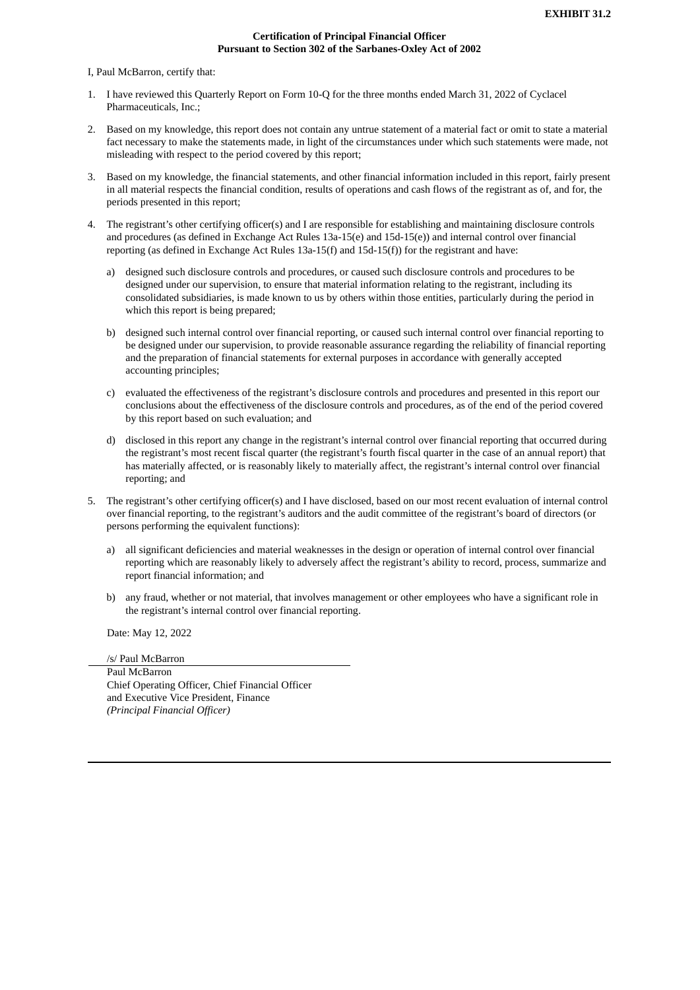### **Certification of Principal Financial Officer Pursuant to Section 302 of the Sarbanes-Oxley Act of 2002**

<span id="page-30-0"></span>I, Paul McBarron, certify that:

- 1. I have reviewed this Quarterly Report on Form 10-Q for the three months ended March 31, 2022 of Cyclacel Pharmaceuticals, Inc.;
- 2. Based on my knowledge, this report does not contain any untrue statement of a material fact or omit to state a material fact necessary to make the statements made, in light of the circumstances under which such statements were made, not misleading with respect to the period covered by this report;
- 3. Based on my knowledge, the financial statements, and other financial information included in this report, fairly present in all material respects the financial condition, results of operations and cash flows of the registrant as of, and for, the periods presented in this report;
- 4. The registrant's other certifying officer(s) and I are responsible for establishing and maintaining disclosure controls and procedures (as defined in Exchange Act Rules 13a-15(e) and 15d-15(e)) and internal control over financial reporting (as defined in Exchange Act Rules 13a-15(f) and 15d-15(f)) for the registrant and have:
	- a) designed such disclosure controls and procedures, or caused such disclosure controls and procedures to be designed under our supervision, to ensure that material information relating to the registrant, including its consolidated subsidiaries, is made known to us by others within those entities, particularly during the period in which this report is being prepared;
	- b) designed such internal control over financial reporting, or caused such internal control over financial reporting to be designed under our supervision, to provide reasonable assurance regarding the reliability of financial reporting and the preparation of financial statements for external purposes in accordance with generally accepted accounting principles;
	- c) evaluated the effectiveness of the registrant's disclosure controls and procedures and presented in this report our conclusions about the effectiveness of the disclosure controls and procedures, as of the end of the period covered by this report based on such evaluation; and
	- d) disclosed in this report any change in the registrant's internal control over financial reporting that occurred during the registrant's most recent fiscal quarter (the registrant's fourth fiscal quarter in the case of an annual report) that has materially affected, or is reasonably likely to materially affect, the registrant's internal control over financial reporting; and
- 5. The registrant's other certifying officer(s) and I have disclosed, based on our most recent evaluation of internal control over financial reporting, to the registrant's auditors and the audit committee of the registrant's board of directors (or persons performing the equivalent functions):
	- all significant deficiencies and material weaknesses in the design or operation of internal control over financial reporting which are reasonably likely to adversely affect the registrant's ability to record, process, summarize and report financial information; and
	- b) any fraud, whether or not material, that involves management or other employees who have a significant role in the registrant's internal control over financial reporting.

Date: May 12, 2022

/s/ Paul McBarron Paul McBarron Chief Operating Officer, Chief Financial Officer and Executive Vice President, Finance *(Principal Financial Officer)*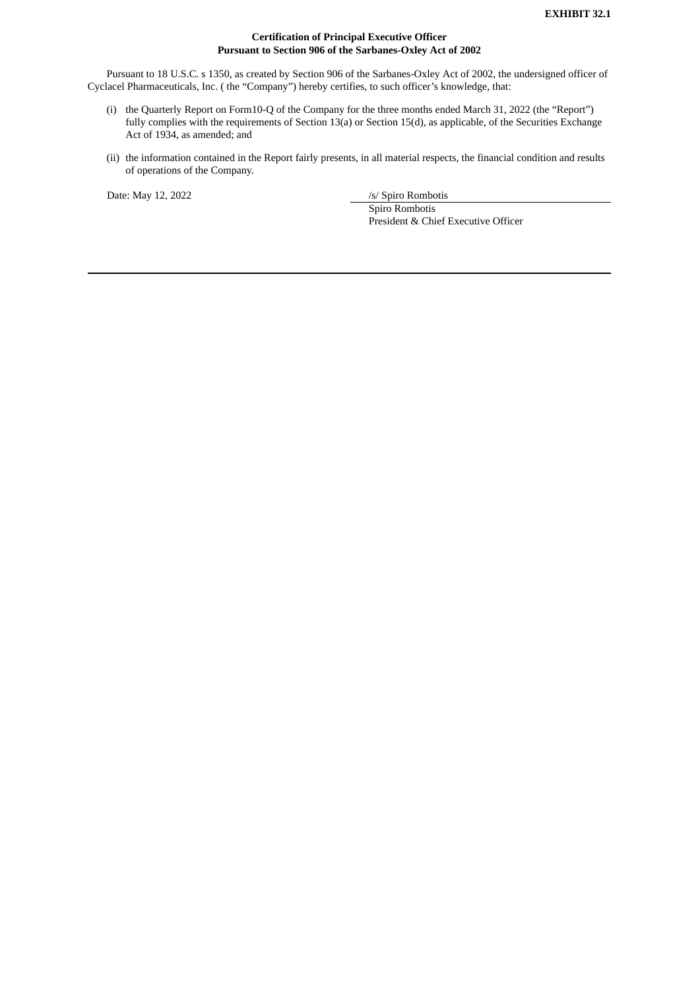# **Certification of Principal Executive Officer Pursuant to Section 906 of the Sarbanes-Oxley Act of 2002**

<span id="page-31-0"></span>Pursuant to 18 U.S.C. s 1350, as created by Section 906 of the Sarbanes-Oxley Act of 2002, the undersigned officer of Cyclacel Pharmaceuticals, Inc. ( the "Company") hereby certifies, to such officer's knowledge, that:

- (i) the Quarterly Report on Form10-Q of the Company for the three months ended March 31, 2022 (the "Report") fully complies with the requirements of Section 13(a) or Section 15(d), as applicable, of the Securities Exchange Act of 1934, as amended; and
- (ii) the information contained in the Report fairly presents, in all material respects, the financial condition and results of operations of the Company.

Date: May 12, 2022 /s/ Spiro Rombotis

Spiro Rombotis President & Chief Executive Officer